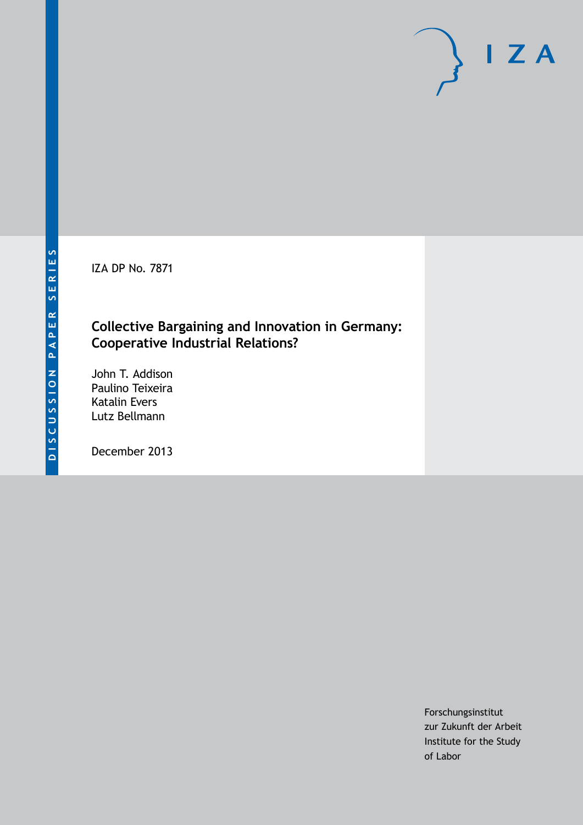IZA DP No. 7871

## **Collective Bargaining and Innovation in Germany: Cooperative Industrial Relations?**

John T. Addison Paulino Teixeira Katalin Evers Lutz Bellmann

December 2013

Forschungsinstitut zur Zukunft der Arbeit Institute for the Study of Labor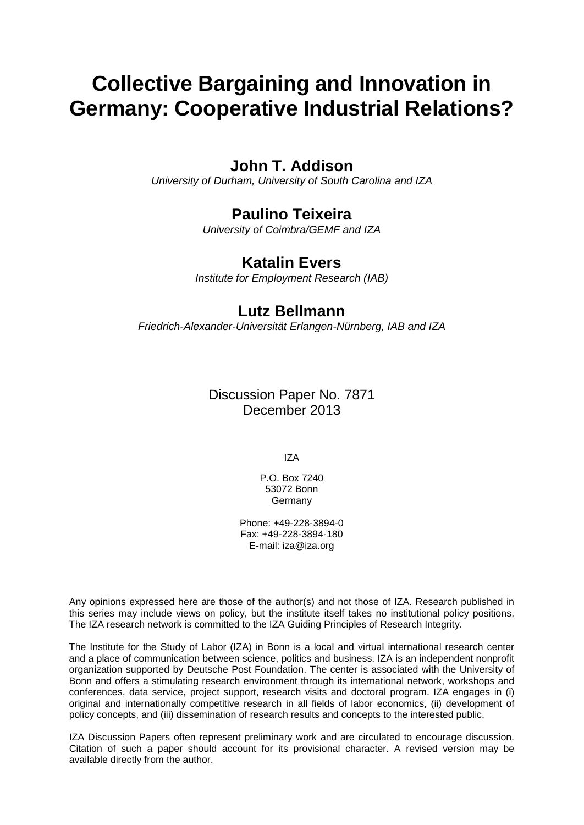# **Collective Bargaining and Innovation in Germany: Cooperative Industrial Relations?**

## **John T. Addison**

*University of Durham, University of South Carolina and IZA*

## **Paulino Teixeira**

*University of Coimbra/GEMF and IZA*

## **Katalin Evers**

*Institute for Employment Research (IAB)*

### **Lutz Bellmann**

*Friedrich-Alexander-Universität Erlangen-Nürnberg, IAB and IZA*

Discussion Paper No. 7871 December 2013

IZA

P.O. Box 7240 53072 Bonn Germany

Phone: +49-228-3894-0 Fax: +49-228-3894-180 E-mail: [iza@iza.org](mailto:iza@iza.org)

Any opinions expressed here are those of the author(s) and not those of IZA. Research published in this series may include views on policy, but the institute itself takes no institutional policy positions. The IZA research network is committed to the IZA Guiding Principles of Research Integrity.

The Institute for the Study of Labor (IZA) in Bonn is a local and virtual international research center and a place of communication between science, politics and business. IZA is an independent nonprofit organization supported by Deutsche Post Foundation. The center is associated with the University of Bonn and offers a stimulating research environment through its international network, workshops and conferences, data service, project support, research visits and doctoral program. IZA engages in (i) original and internationally competitive research in all fields of labor economics, (ii) development of policy concepts, and (iii) dissemination of research results and concepts to the interested public.

IZA Discussion Papers often represent preliminary work and are circulated to encourage discussion. Citation of such a paper should account for its provisional character. A revised version may be available directly from the author.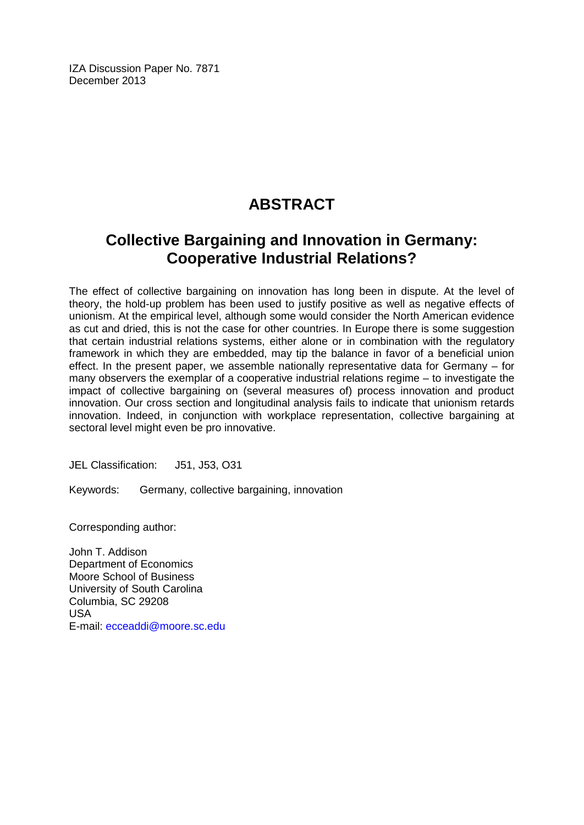IZA Discussion Paper No. 7871 December 2013

## **ABSTRACT**

## **Collective Bargaining and Innovation in Germany: Cooperative Industrial Relations?**

The effect of collective bargaining on innovation has long been in dispute. At the level of theory, the hold-up problem has been used to justify positive as well as negative effects of unionism. At the empirical level, although some would consider the North American evidence as cut and dried, this is not the case for other countries. In Europe there is some suggestion that certain industrial relations systems, either alone or in combination with the regulatory framework in which they are embedded, may tip the balance in favor of a beneficial union effect. In the present paper, we assemble nationally representative data for Germany – for many observers the exemplar of a cooperative industrial relations regime – to investigate the impact of collective bargaining on (several measures of) process innovation and product innovation. Our cross section and longitudinal analysis fails to indicate that unionism retards innovation. Indeed, in conjunction with workplace representation, collective bargaining at sectoral level might even be pro innovative.

JEL Classification: J51, J53, O31

Keywords: Germany, collective bargaining, innovation

Corresponding author:

John T. Addison Department of Economics Moore School of Business University of South Carolina Columbia, SC 29208 USA E-mail: [ecceaddi@moore.sc.edu](mailto:ecceaddi@moore.sc.edu)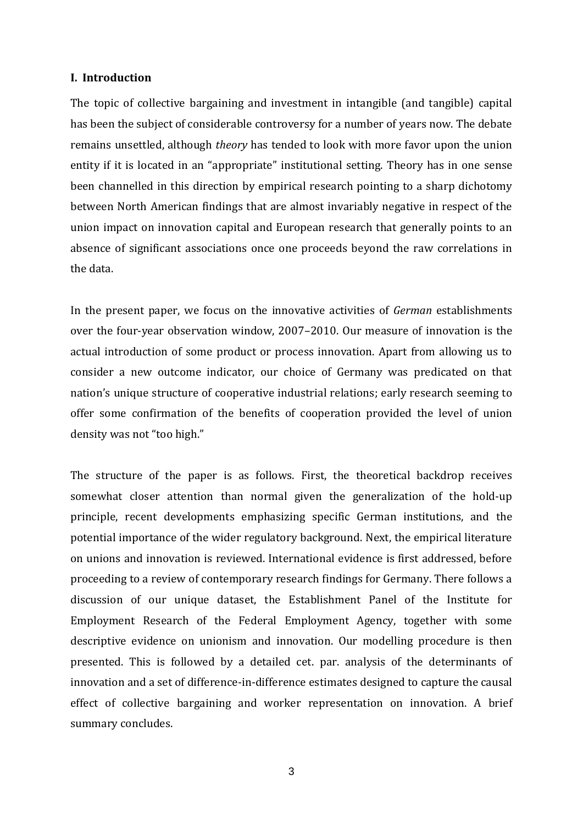#### **I. Introduction**

The topic of collective bargaining and investment in intangible (and tangible) capital has been the subject of considerable controversy for a number of years now. The debate remains unsettled, although *theory* has tended to look with more favor upon the union entity if it is located in an "appropriate" institutional setting. Theory has in one sense been channelled in this direction by empirical research pointing to a sharp dichotomy between North American findings that are almost invariably negative in respect of the union impact on innovation capital and European research that generally points to an absence of significant associations once one proceeds beyond the raw correlations in the data.

In the present paper, we focus on the innovative activities of *German* establishments over the four-year observation window, 2007–2010. Our measure of innovation is the actual introduction of some product or process innovation. Apart from allowing us to consider a new outcome indicator, our choice of Germany was predicated on that nation's unique structure of cooperative industrial relations; early research seeming to offer some confirmation of the benefits of cooperation provided the level of union density was not "too high."

The structure of the paper is as follows. First, the theoretical backdrop receives somewhat closer attention than normal given the generalization of the hold-up principle, recent developments emphasizing specific German institutions, and the potential importance of the wider regulatory background. Next, the empirical literature on unions and innovation is reviewed. International evidence is first addressed, before proceeding to a review of contemporary research findings for Germany. There follows a discussion of our unique dataset, the Establishment Panel of the Institute for Employment Research of the Federal Employment Agency, together with some descriptive evidence on unionism and innovation. Our modelling procedure is then presented. This is followed by a detailed cet. par. analysis of the determinants of innovation and a set of difference-in-difference estimates designed to capture the causal effect of collective bargaining and worker representation on innovation. A brief summary concludes.

3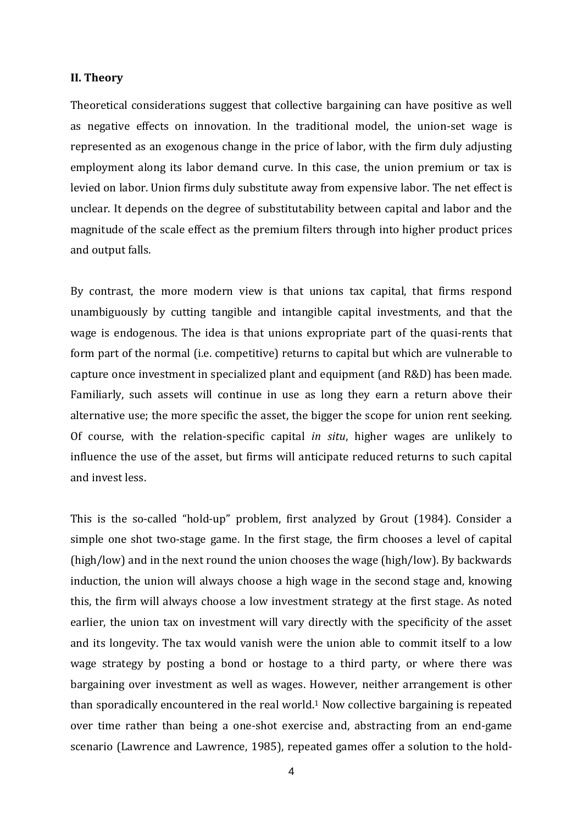#### **II. Theory**

Theoretical considerations suggest that collective bargaining can have positive as well as negative effects on innovation. In the traditional model, the union-set wage is represented as an exogenous change in the price of labor, with the firm duly adjusting employment along its labor demand curve. In this case, the union premium or tax is levied on labor. Union firms duly substitute away from expensive labor. The net effect is unclear. It depends on the degree of substitutability between capital and labor and the magnitude of the scale effect as the premium filters through into higher product prices and output falls.

By contrast, the more modern view is that unions tax capital, that firms respond unambiguously by cutting tangible and intangible capital investments, and that the wage is endogenous. The idea is that unions expropriate part of the quasi-rents that form part of the normal (i.e. competitive) returns to capital but which are vulnerable to capture once investment in specialized plant and equipment (and R&D) has been made. Familiarly, such assets will continue in use as long they earn a return above their alternative use; the more specific the asset, the bigger the scope for union rent seeking. Of course, with the relation-specific capital *in situ*, higher wages are unlikely to influence the use of the asset, but firms will anticipate reduced returns to such capital and invest less.

This is the so-called "hold-up" problem, first analyzed by Grout (1984). Consider a simple one shot two-stage game. In the first stage, the firm chooses a level of capital (high/low) and in the next round the union chooses the wage (high/low). By backwards induction, the union will always choose a high wage in the second stage and, knowing this, the firm will always choose a low investment strategy at the first stage. As noted earlier, the union tax on investment will vary directly with the specificity of the asset and its longevity. The tax would vanish were the union able to commit itself to a low wage strategy by posting a bond or hostage to a third party, or where there was bargaining over investment as well as wages. However, neither arrangement is other than sporadically encountered in the real world.1 Now collective bargaining is repeated over time rather than being a one-shot exercise and, abstracting from an end-game scenario (Lawrence and Lawrence, 1985), repeated games offer a solution to the hold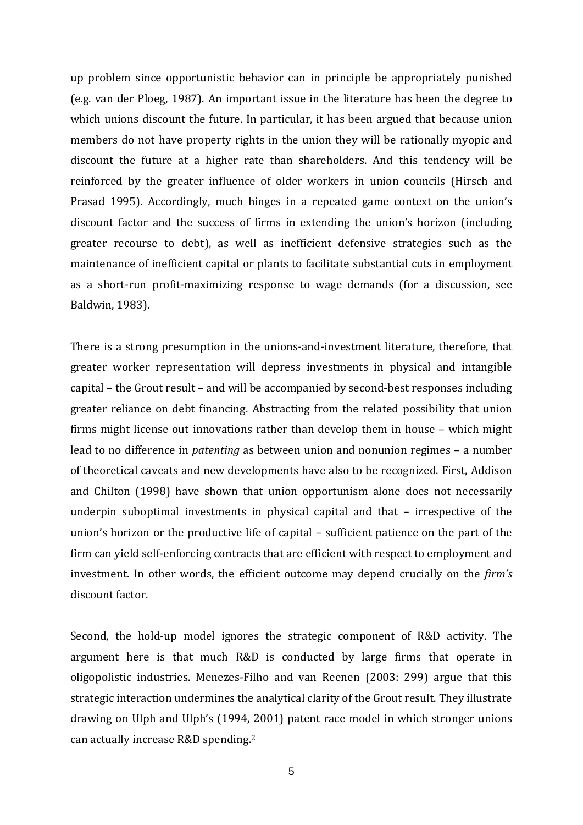up problem since opportunistic behavior can in principle be appropriately punished (e.g. van der Ploeg, 1987). An important issue in the literature has been the degree to which unions discount the future. In particular, it has been argued that because union members do not have property rights in the union they will be rationally myopic and discount the future at a higher rate than shareholders. And this tendency will be reinforced by the greater influence of older workers in union councils (Hirsch and Prasad 1995). Accordingly, much hinges in a repeated game context on the union's discount factor and the success of firms in extending the union's horizon (including greater recourse to debt), as well as inefficient defensive strategies such as the maintenance of inefficient capital or plants to facilitate substantial cuts in employment as a short-run profit-maximizing response to wage demands (for a discussion, see Baldwin, 1983).

There is a strong presumption in the unions-and-investment literature, therefore, that greater worker representation will depress investments in physical and intangible capital – the Grout result – and will be accompanied by second-best responses including greater reliance on debt financing. Abstracting from the related possibility that union firms might license out innovations rather than develop them in house – which might lead to no difference in *patenting* as between union and nonunion regimes – a number of theoretical caveats and new developments have also to be recognized. First, Addison and Chilton (1998) have shown that union opportunism alone does not necessarily underpin suboptimal investments in physical capital and that – irrespective of the union's horizon or the productive life of capital – sufficient patience on the part of the firm can yield self-enforcing contracts that are efficient with respect to employment and investment. In other words, the efficient outcome may depend crucially on the *firm's* discount factor.

Second, the hold-up model ignores the strategic component of R&D activity. The argument here is that much R&D is conducted by large firms that operate in oligopolistic industries. Menezes-Filho and van Reenen (2003: 299) argue that this strategic interaction undermines the analytical clarity of the Grout result. They illustrate drawing on Ulph and Ulph's (1994, 2001) patent race model in which stronger unions can actually increase R&D spending.2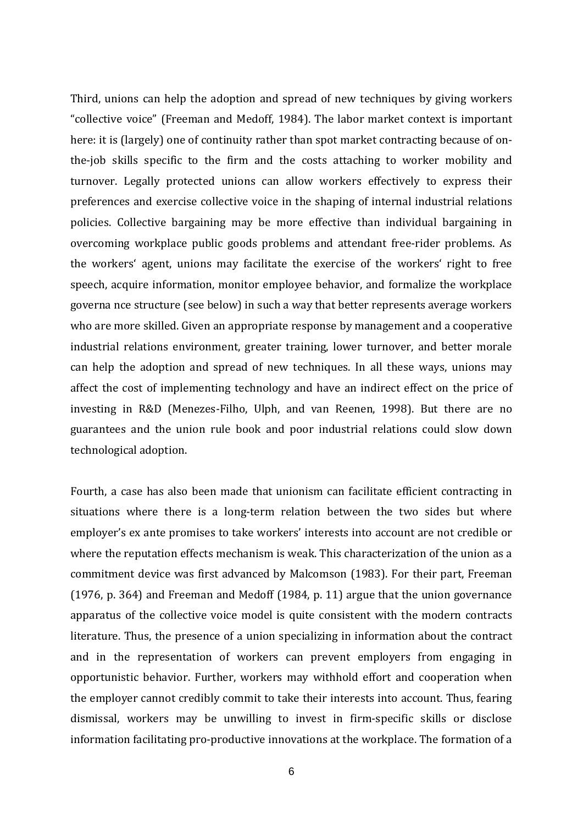Third, unions can help the adoption and spread of new techniques by giving workers "collective voice" (Freeman and Medoff, 1984). The labor market context is important here: it is (largely) one of continuity rather than spot market contracting because of onthe-job skills specific to the firm and the costs attaching to worker mobility and turnover. Legally protected unions can allow workers effectively to express their preferences and exercise collective voice in the shaping of internal industrial relations policies. Collective bargaining may be more effective than individual bargaining in overcoming workplace public goods problems and attendant free-rider problems. As the workers' agent, unions may facilitate the exercise of the workers' right to free speech, acquire information, monitor employee behavior, and formalize the workplace governa nce structure (see below) in such a way that better represents average workers who are more skilled. Given an appropriate response by management and a cooperative industrial relations environment, greater training, lower turnover, and better morale can help the adoption and spread of new techniques. In all these ways, unions may affect the cost of implementing technology and have an indirect effect on the price of investing in R&D (Menezes-Filho, Ulph, and van Reenen, 1998). But there are no guarantees and the union rule book and poor industrial relations could slow down technological adoption.

Fourth, a case has also been made that unionism can facilitate efficient contracting in situations where there is a long-term relation between the two sides but where employer's ex ante promises to take workers' interests into account are not credible or where the reputation effects mechanism is weak. This characterization of the union as a commitment device was first advanced by Malcomson (1983). For their part, Freeman (1976, p. 364) and Freeman and Medoff (1984, p. 11) argue that the union governance apparatus of the collective voice model is quite consistent with the modern contracts literature. Thus, the presence of a union specializing in information about the contract and in the representation of workers can prevent employers from engaging in opportunistic behavior. Further, workers may withhold effort and cooperation when the employer cannot credibly commit to take their interests into account. Thus, fearing dismissal, workers may be unwilling to invest in firm-specific skills or disclose information facilitating pro-productive innovations at the workplace. The formation of a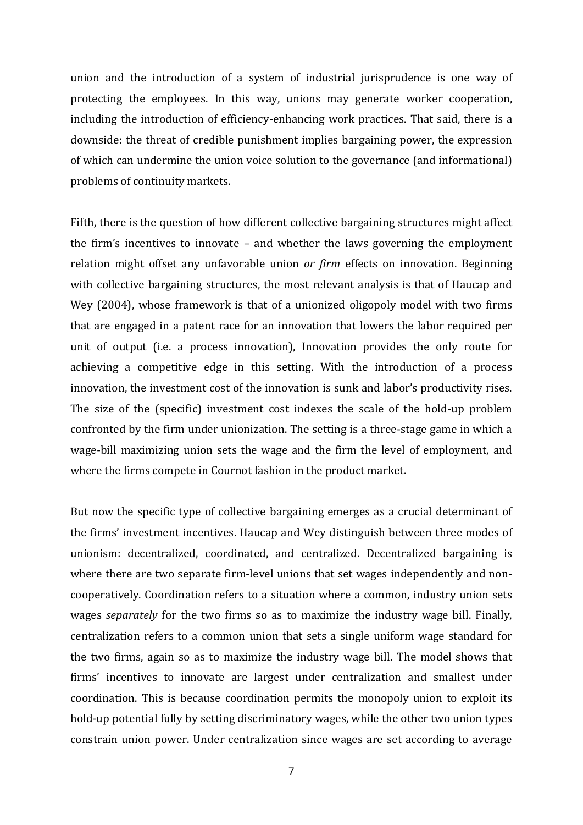union and the introduction of a system of industrial jurisprudence is one way of protecting the employees. In this way, unions may generate worker cooperation, including the introduction of efficiency-enhancing work practices. That said, there is a downside: the threat of credible punishment implies bargaining power, the expression of which can undermine the union voice solution to the governance (and informational) problems of continuity markets.

Fifth, there is the question of how different collective bargaining structures might affect the firm's incentives to innovate – and whether the laws governing the employment relation might offset any unfavorable union *or firm* effects on innovation. Beginning with collective bargaining structures, the most relevant analysis is that of Haucap and Wey (2004), whose framework is that of a unionized oligopoly model with two firms that are engaged in a patent race for an innovation that lowers the labor required per unit of output (i.e. a process innovation), Innovation provides the only route for achieving a competitive edge in this setting. With the introduction of a process innovation, the investment cost of the innovation is sunk and labor's productivity rises. The size of the (specific) investment cost indexes the scale of the hold-up problem confronted by the firm under unionization. The setting is a three-stage game in which a wage-bill maximizing union sets the wage and the firm the level of employment, and where the firms compete in Cournot fashion in the product market.

But now the specific type of collective bargaining emerges as a crucial determinant of the firms' investment incentives. Haucap and Wey distinguish between three modes of unionism: decentralized, coordinated, and centralized. Decentralized bargaining is where there are two separate firm-level unions that set wages independently and noncooperatively. Coordination refers to a situation where a common, industry union sets wages *separately* for the two firms so as to maximize the industry wage bill. Finally, centralization refers to a common union that sets a single uniform wage standard for the two firms, again so as to maximize the industry wage bill. The model shows that firms' incentives to innovate are largest under centralization and smallest under coordination. This is because coordination permits the monopoly union to exploit its hold-up potential fully by setting discriminatory wages, while the other two union types constrain union power. Under centralization since wages are set according to average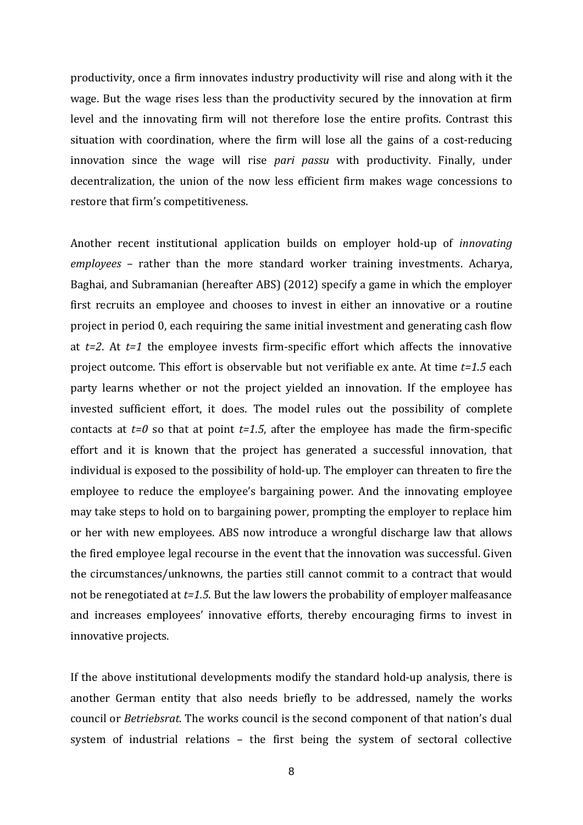productivity, once a firm innovates industry productivity will rise and along with it the wage. But the wage rises less than the productivity secured by the innovation at firm level and the innovating firm will not therefore lose the entire profits. Contrast this situation with coordination, where the firm will lose all the gains of a cost-reducing innovation since the wage will rise *pari passu* with productivity. Finally, under decentralization, the union of the now less efficient firm makes wage concessions to restore that firm's competitiveness.

Another recent institutional application builds on employer hold-up of *innovating employees* – rather than the more standard worker training investments. Acharya, Baghai, and Subramanian (hereafter ABS) (2012) specify a game in which the employer first recruits an employee and chooses to invest in either an innovative or a routine project in period 0, each requiring the same initial investment and generating cash flow at *t=2*. At *t=1* the employee invests firm-specific effort which affects the innovative project outcome. This effort is observable but not verifiable ex ante. At time *t=1.5* each party learns whether or not the project yielded an innovation. If the employee has invested sufficient effort, it does. The model rules out the possibility of complete contacts at  $t=0$  so that at point  $t=1.5$ , after the employee has made the firm-specific effort and it is known that the project has generated a successful innovation, that individual is exposed to the possibility of hold-up. The employer can threaten to fire the employee to reduce the employee's bargaining power. And the innovating employee may take steps to hold on to bargaining power, prompting the employer to replace him or her with new employees. ABS now introduce a wrongful discharge law that allows the fired employee legal recourse in the event that the innovation was successful. Given the circumstances/unknowns, the parties still cannot commit to a contract that would not be renegotiated at *t=1.5*. But the law lowers the probability of employer malfeasance and increases employees' innovative efforts, thereby encouraging firms to invest in innovative projects.

If the above institutional developments modify the standard hold-up analysis, there is another German entity that also needs briefly to be addressed, namely the works council or *Betriebsrat*. The works council is the second component of that nation's dual system of industrial relations – the first being the system of sectoral collective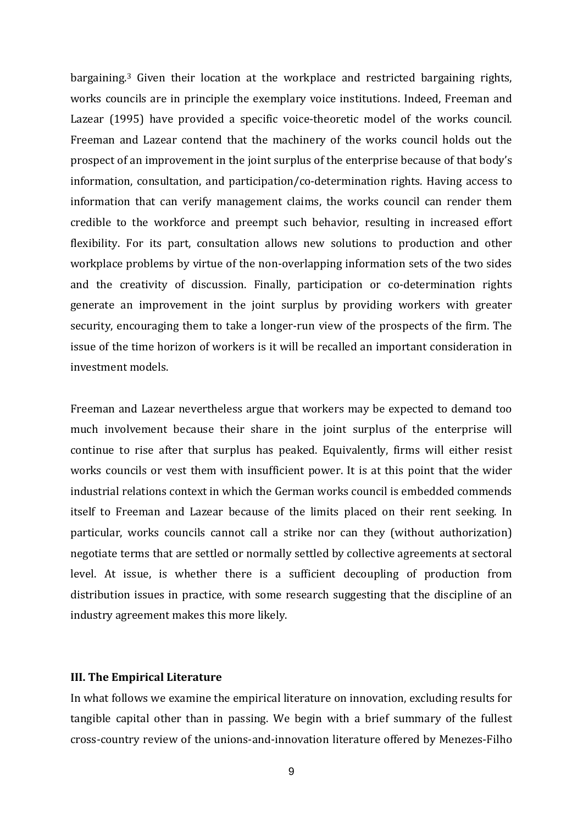bargaining.3 Given their location at the workplace and restricted bargaining rights, works councils are in principle the exemplary voice institutions. Indeed, Freeman and Lazear (1995) have provided a specific voice-theoretic model of the works council. Freeman and Lazear contend that the machinery of the works council holds out the prospect of an improvement in the joint surplus of the enterprise because of that body's information, consultation, and participation/co-determination rights. Having access to information that can verify management claims, the works council can render them credible to the workforce and preempt such behavior, resulting in increased effort flexibility. For its part, consultation allows new solutions to production and other workplace problems by virtue of the non-overlapping information sets of the two sides and the creativity of discussion. Finally, participation or co-determination rights generate an improvement in the joint surplus by providing workers with greater security, encouraging them to take a longer-run view of the prospects of the firm. The issue of the time horizon of workers is it will be recalled an important consideration in investment models.

Freeman and Lazear nevertheless argue that workers may be expected to demand too much involvement because their share in the joint surplus of the enterprise will continue to rise after that surplus has peaked. Equivalently, firms will either resist works councils or vest them with insufficient power. It is at this point that the wider industrial relations context in which the German works council is embedded commends itself to Freeman and Lazear because of the limits placed on their rent seeking. In particular, works councils cannot call a strike nor can they (without authorization) negotiate terms that are settled or normally settled by collective agreements at sectoral level. At issue, is whether there is a sufficient decoupling of production from distribution issues in practice, with some research suggesting that the discipline of an industry agreement makes this more likely.

#### **III. The Empirical Literature**

In what follows we examine the empirical literature on innovation, excluding results for tangible capital other than in passing. We begin with a brief summary of the fullest cross-country review of the unions-and-innovation literature offered by Menezes-Filho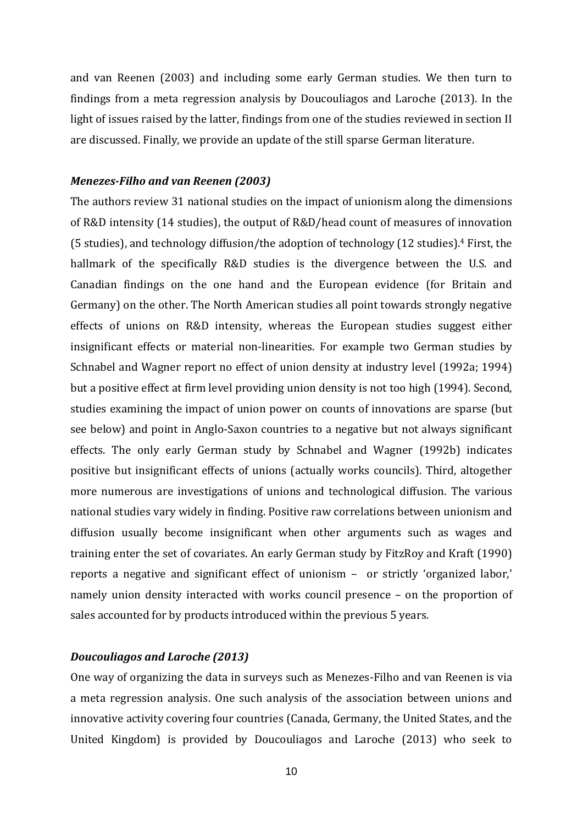and van Reenen (2003) and including some early German studies. We then turn to findings from a meta regression analysis by Doucouliagos and Laroche (2013). In the light of issues raised by the latter, findings from one of the studies reviewed in section II are discussed. Finally, we provide an update of the still sparse German literature.

#### *Menezes-Filho and van Reenen (2003)*

The authors review 31 national studies on the impact of unionism along the dimensions of R&D intensity (14 studies), the output of R&D/head count of measures of innovation (5 studies), and technology diffusion/the adoption of technology (12 studies). <sup>4</sup> First, the hallmark of the specifically R&D studies is the divergence between the U.S. and Canadian findings on the one hand and the European evidence (for Britain and Germany) on the other. The North American studies all point towards strongly negative effects of unions on R&D intensity, whereas the European studies suggest either insignificant effects or material non-linearities. For example two German studies by Schnabel and Wagner report no effect of union density at industry level (1992a; 1994) but a positive effect at firm level providing union density is not too high (1994). Second, studies examining the impact of union power on counts of innovations are sparse (but see below) and point in Anglo-Saxon countries to a negative but not always significant effects. The only early German study by Schnabel and Wagner (1992b) indicates positive but insignificant effects of unions (actually works councils). Third, altogether more numerous are investigations of unions and technological diffusion. The various national studies vary widely in finding. Positive raw correlations between unionism and diffusion usually become insignificant when other arguments such as wages and training enter the set of covariates. An early German study by FitzRoy and Kraft (1990) reports a negative and significant effect of unionism – or strictly 'organized labor,' namely union density interacted with works council presence – on the proportion of sales accounted for by products introduced within the previous 5 years.

#### *Doucouliagos and Laroche (2013)*

One way of organizing the data in surveys such as Menezes-Filho and van Reenen is via a meta regression analysis. One such analysis of the association between unions and innovative activity covering four countries (Canada, Germany, the United States, and the United Kingdom) is provided by Doucouliagos and Laroche (2013) who seek to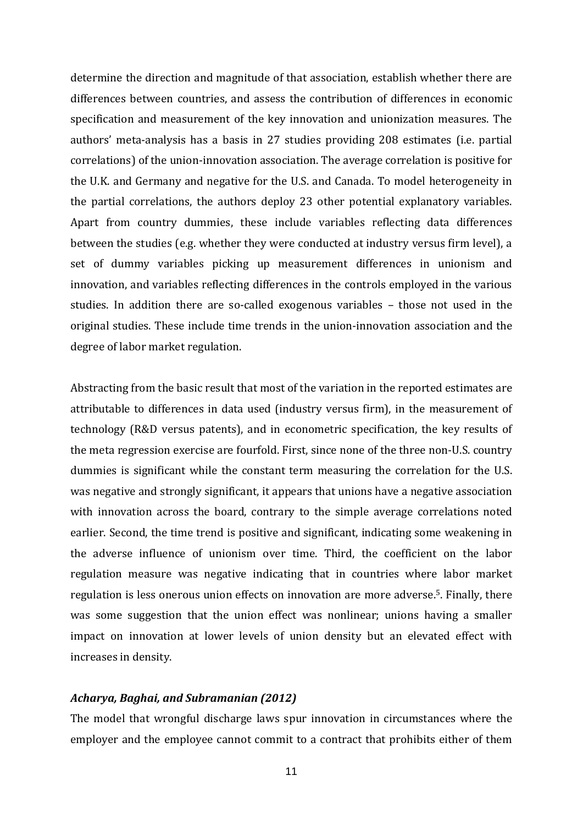determine the direction and magnitude of that association, establish whether there are differences between countries, and assess the contribution of differences in economic specification and measurement of the key innovation and unionization measures. The authors' meta-analysis has a basis in 27 studies providing 208 estimates (i.e. partial correlations) of the union-innovation association. The average correlation is positive for the U.K. and Germany and negative for the U.S. and Canada. To model heterogeneity in the partial correlations, the authors deploy 23 other potential explanatory variables. Apart from country dummies, these include variables reflecting data differences between the studies (e.g. whether they were conducted at industry versus firm level), a set of dummy variables picking up measurement differences in unionism and innovation, and variables reflecting differences in the controls employed in the various studies. In addition there are so-called exogenous variables – those not used in the original studies. These include time trends in the union-innovation association and the degree of labor market regulation.

Abstracting from the basic result that most of the variation in the reported estimates are attributable to differences in data used (industry versus firm), in the measurement of technology (R&D versus patents), and in econometric specification, the key results of the meta regression exercise are fourfold. First, since none of the three non-U.S. country dummies is significant while the constant term measuring the correlation for the U.S. was negative and strongly significant, it appears that unions have a negative association with innovation across the board, contrary to the simple average correlations noted earlier. Second, the time trend is positive and significant, indicating some weakening in the adverse influence of unionism over time. Third, the coefficient on the labor regulation measure was negative indicating that in countries where labor market regulation is less onerous union effects on innovation are more adverse.5. Finally, there was some suggestion that the union effect was nonlinear; unions having a smaller impact on innovation at lower levels of union density but an elevated effect with increases in density.

#### *Acharya, Baghai, and Subramanian (2012)*

The model that wrongful discharge laws spur innovation in circumstances where the employer and the employee cannot commit to a contract that prohibits either of them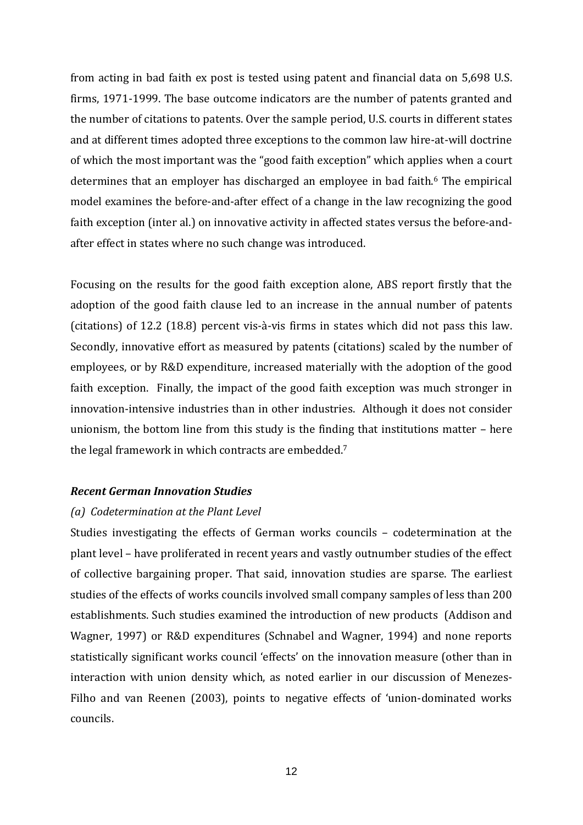from acting in bad faith ex post is tested using patent and financial data on 5,698 U.S. firms, 1971-1999. The base outcome indicators are the number of patents granted and the number of citations to patents. Over the sample period, U.S. courts in different states and at different times adopted three exceptions to the common law hire-at-will doctrine of which the most important was the "good faith exception" which applies when a court determines that an employer has discharged an employee in bad faith.<sup>6</sup> The empirical model examines the before-and-after effect of a change in the law recognizing the good faith exception (inter al.) on innovative activity in affected states versus the before-andafter effect in states where no such change was introduced.

Focusing on the results for the good faith exception alone, ABS report firstly that the adoption of the good faith clause led to an increase in the annual number of patents (citations) of 12.2 (18.8) percent vis-à-vis firms in states which did not pass this law. Secondly, innovative effort as measured by patents (citations) scaled by the number of employees, or by R&D expenditure, increased materially with the adoption of the good faith exception. Finally, the impact of the good faith exception was much stronger in innovation-intensive industries than in other industries. Although it does not consider unionism, the bottom line from this study is the finding that institutions matter – here the legal framework in which contracts are embedded. 7

#### *Recent German Innovation Studies*

#### *(a) Codetermination at the Plant Level*

Studies investigating the effects of German works councils – codetermination at the plant level – have proliferated in recent years and vastly outnumber studies of the effect of collective bargaining proper. That said, innovation studies are sparse. The earliest studies of the effects of works councils involved small company samples of less than 200 establishments. Such studies examined the introduction of new products (Addison and Wagner, 1997) or R&D expenditures (Schnabel and Wagner, 1994) and none reports statistically significant works council 'effects' on the innovation measure (other than in interaction with union density which, as noted earlier in our discussion of Menezes-Filho and van Reenen (2003), points to negative effects of 'union-dominated works councils.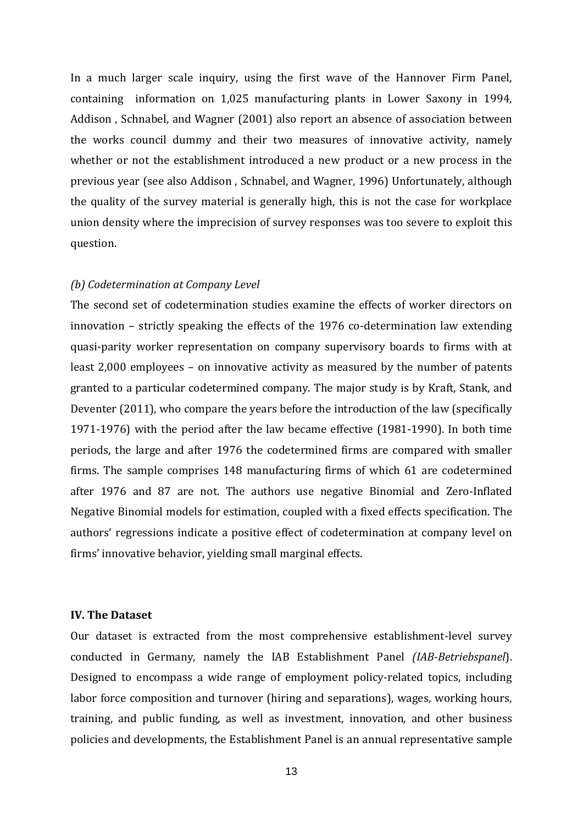In a much larger scale inquiry, using the first wave of the Hannover Firm Panel, containing information on 1,025 manufacturing plants in Lower Saxony in 1994, Addison , Schnabel, and Wagner (2001) also report an absence of association between the works council dummy and their two measures of innovative activity, namely whether or not the establishment introduced a new product or a new process in the previous year (see also Addison , Schnabel, and Wagner, 1996) Unfortunately, although the quality of the survey material is generally high, this is not the case for workplace union density where the imprecision of survey responses was too severe to exploit this question.

#### *(b) Codetermination at Company Level*

The second set of codetermination studies examine the effects of worker directors on innovation – strictly speaking the effects of the 1976 co-determination law extending quasi-parity worker representation on company supervisory boards to firms with at least 2,000 employees – on innovative activity as measured by the number of patents granted to a particular codetermined company. The major study is by Kraft, Stank, and Deventer (2011), who compare the years before the introduction of the law (specifically 1971-1976) with the period after the law became effective (1981-1990). In both time periods, the large and after 1976 the codetermined firms are compared with smaller firms. The sample comprises 148 manufacturing firms of which 61 are codetermined after 1976 and 87 are not. The authors use negative Binomial and Zero-Inflated Negative Binomial models for estimation, coupled with a fixed effects specification. The authors' regressions indicate a positive effect of codetermination at company level on firms' innovative behavior, yielding small marginal effects.

#### **IV. The Dataset**

Our dataset is extracted from the most comprehensive establishment-level survey conducted in Germany, namely the IAB Establishment Panel *(IAB-Betriebspanel*). Designed to encompass a wide range of employment policy-related topics, including labor force composition and turnover (hiring and separations), wages, working hours, training, and public funding, as well as investment, innovation, and other business policies and developments, the Establishment Panel is an annual representative sample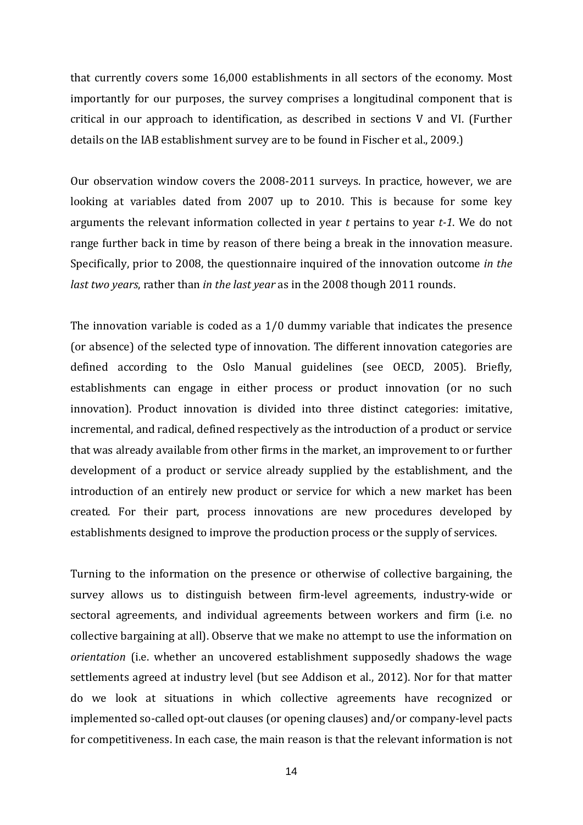that currently covers some 16,000 establishments in all sectors of the economy. Most importantly for our purposes, the survey comprises a longitudinal component that is critical in our approach to identification, as described in sections V and VI. (Further details on the IAB establishment survey are to be found in Fischer et al., 2009.)

Our observation window covers the 2008-2011 surveys. In practice, however, we are looking at variables dated from 2007 up to 2010. This is because for some key arguments the relevant information collected in year *t* pertains to year *t-1*. We do not range further back in time by reason of there being a break in the innovation measure. Specifically, prior to 2008, the questionnaire inquired of the innovation outcome *in the last two years*, rather than *in the last year* as in the 2008 though 2011 rounds.

The innovation variable is coded as a 1/0 dummy variable that indicates the presence (or absence) of the selected type of innovation. The different innovation categories are defined according to the Oslo Manual guidelines (see OECD, 2005). Briefly, establishments can engage in either process or product innovation (or no such innovation). Product innovation is divided into three distinct categories: imitative, incremental, and radical, defined respectively as the introduction of a product or service that was already available from other firms in the market, an improvement to or further development of a product or service already supplied by the establishment, and the introduction of an entirely new product or service for which a new market has been created. For their part, process innovations are new procedures developed by establishments designed to improve the production process or the supply of services.

Turning to the information on the presence or otherwise of collective bargaining, the survey allows us to distinguish between firm-level agreements, industry-wide or sectoral agreements, and individual agreements between workers and firm (i.e. no collective bargaining at all). Observe that we make no attempt to use the information on *orientation* (i.e. whether an uncovered establishment supposedly shadows the wage settlements agreed at industry level (but see Addison et al., 2012). Nor for that matter do we look at situations in which collective agreements have recognized or implemented so-called opt-out clauses (or opening clauses) and/or company-level pacts for competitiveness. In each case, the main reason is that the relevant information is not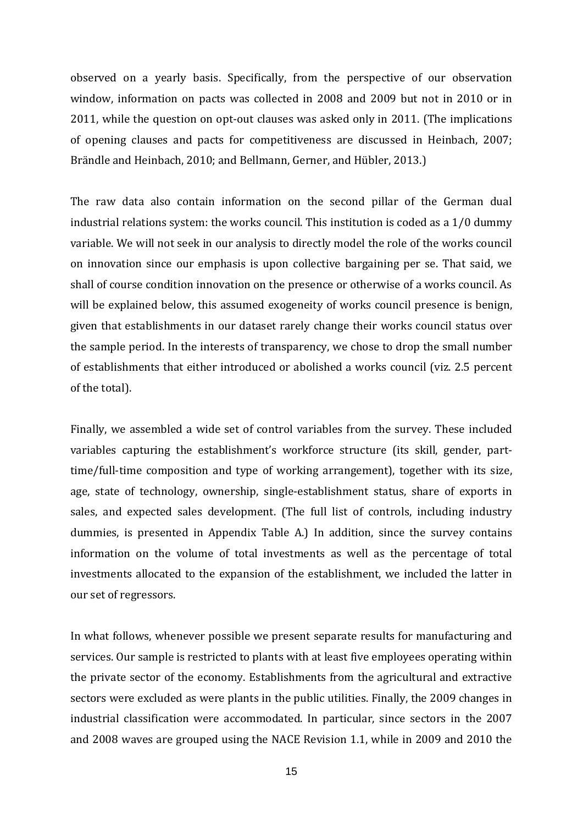observed on a yearly basis. Specifically, from the perspective of our observation window, information on pacts was collected in 2008 and 2009 but not in 2010 or in 2011, while the question on opt-out clauses was asked only in 2011. (The implications of opening clauses and pacts for competitiveness are discussed in Heinbach, 2007; Brändle and Heinbach, 2010; and Bellmann, Gerner, and Hübler, 2013.)

The raw data also contain information on the second pillar of the German dual industrial relations system: the works council. This institution is coded as a 1/0 dummy variable. We will not seek in our analysis to directly model the role of the works council on innovation since our emphasis is upon collective bargaining per se. That said, we shall of course condition innovation on the presence or otherwise of a works council. As will be explained below, this assumed exogeneity of works council presence is benign, given that establishments in our dataset rarely change their works council status over the sample period. In the interests of transparency, we chose to drop the small number of establishments that either introduced or abolished a works council (viz. 2.5 percent of the total).

Finally, we assembled a wide set of control variables from the survey. These included variables capturing the establishment's workforce structure (its skill, gender, parttime/full-time composition and type of working arrangement), together with its size, age, state of technology, ownership, single-establishment status, share of exports in sales, and expected sales development. (The full list of controls, including industry dummies, is presented in Appendix Table A.) In addition, since the survey contains information on the volume of total investments as well as the percentage of total investments allocated to the expansion of the establishment, we included the latter in our set of regressors.

In what follows, whenever possible we present separate results for manufacturing and services. Our sample is restricted to plants with at least five employees operating within the private sector of the economy. Establishments from the agricultural and extractive sectors were excluded as were plants in the public utilities. Finally, the 2009 changes in industrial classification were accommodated. In particular, since sectors in the 2007 and 2008 waves are grouped using the NACE Revision 1.1, while in 2009 and 2010 the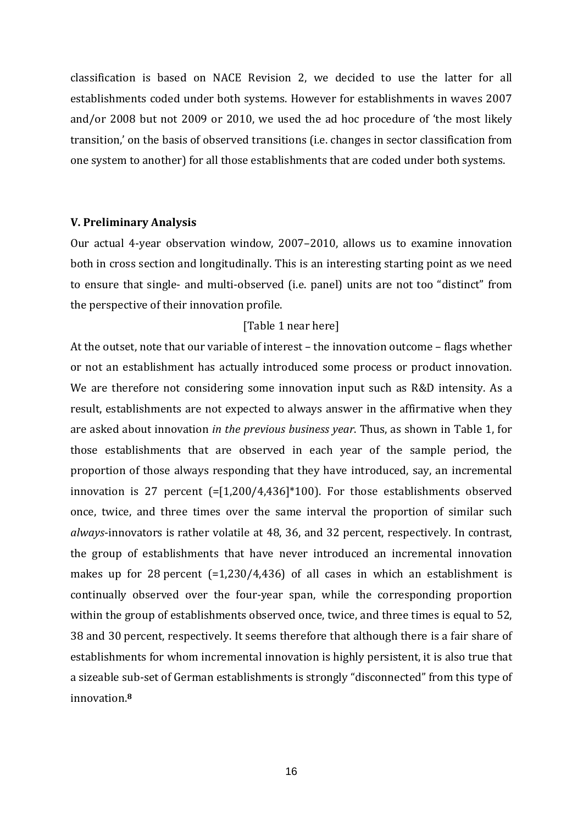classification is based on NACE Revision 2, we decided to use the latter for all establishments coded under both systems. However for establishments in waves 2007 and/or 2008 but not 2009 or 2010, we used the ad hoc procedure of 'the most likely transition,' on the basis of observed transitions (i.e. changes in sector classification from one system to another) for all those establishments that are coded under both systems.

#### **V. Preliminary Analysis**

Our actual 4-year observation window, 2007–2010, allows us to examine innovation both in cross section and longitudinally. This is an interesting starting point as we need to ensure that single- and multi-observed (i.e. panel) units are not too "distinct" from the perspective of their innovation profile.

#### [Table 1 near here]

At the outset, note that our variable of interest – the innovation outcome – flags whether or not an establishment has actually introduced some process or product innovation. We are therefore not considering some innovation input such as R&D intensity. As a result, establishments are not expected to always answer in the affirmative when they are asked about innovation *in the previous business year*. Thus, as shown in Table 1, for those establishments that are observed in each year of the sample period, the proportion of those always responding that they have introduced, say, an incremental innovation is 27 percent (=[1,200/4,436]\*100). For those establishments observed once, twice, and three times over the same interval the proportion of similar such *always*-innovators is rather volatile at 48, 36, and 32 percent, respectively. In contrast, the group of establishments that have never introduced an incremental innovation makes up for 28 percent  $(=1,230/4,436)$  of all cases in which an establishment is continually observed over the four-year span, while the corresponding proportion within the group of establishments observed once, twice, and three times is equal to 52, 38 and 30 percent, respectively. It seems therefore that although there is a fair share of establishments for whom incremental innovation is highly persistent, it is also true that a sizeable sub-set of German establishments is strongly "disconnected" from this type of innovation.**<sup>8</sup>**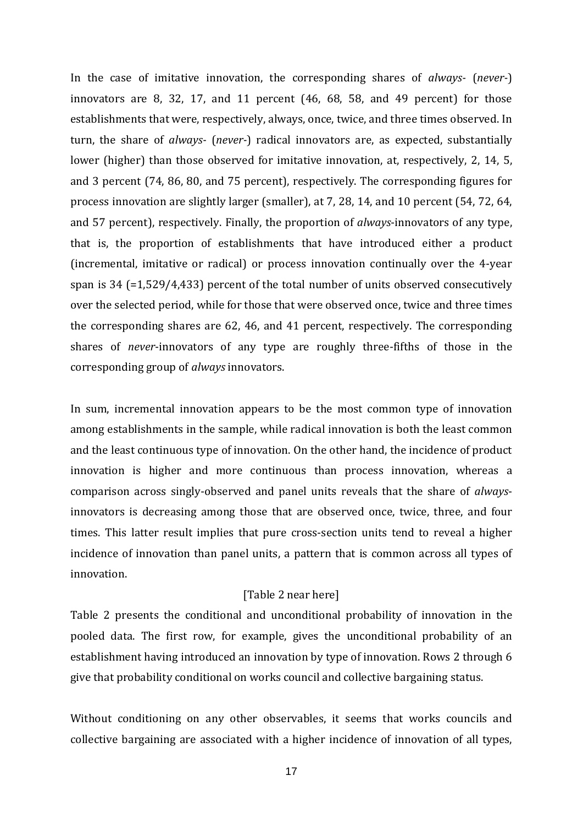In the case of imitative innovation, the corresponding shares of *always-* (*never-*) innovators are 8, 32, 17, and 11 percent (46, 68, 58, and 49 percent) for those establishments that were, respectively, always, once, twice, and three times observed. In turn, the share of *always-* (*never-*) radical innovators are, as expected, substantially lower (higher) than those observed for imitative innovation, at, respectively, 2, 14, 5, and 3 percent (74, 86, 80, and 75 percent), respectively. The corresponding figures for process innovation are slightly larger (smaller), at 7, 28, 14, and 10 percent (54, 72, 64, and 57 percent), respectively. Finally, the proportion of *always*-innovators of any type, that is, the proportion of establishments that have introduced either a product (incremental, imitative or radical) or process innovation continually over the 4-year span is 34 (=1,529/4,433) percent of the total number of units observed consecutively over the selected period, while for those that were observed once, twice and three times the corresponding shares are 62, 46, and 41 percent, respectively. The corresponding shares of *never*-innovators of any type are roughly three-fifths of those in the corresponding group of *always* innovators.

In sum, incremental innovation appears to be the most common type of innovation among establishments in the sample, while radical innovation is both the least common and the least continuous type of innovation. On the other hand, the incidence of product innovation is higher and more continuous than process innovation, whereas a comparison across singly-observed and panel units reveals that the share of *always*innovators is decreasing among those that are observed once, twice, three, and four times. This latter result implies that pure cross-section units tend to reveal a higher incidence of innovation than panel units, a pattern that is common across all types of innovation.

#### [Table 2 near here]

Table 2 presents the conditional and unconditional probability of innovation in the pooled data. The first row, for example, gives the unconditional probability of an establishment having introduced an innovation by type of innovation. Rows 2 through 6 give that probability conditional on works council and collective bargaining status.

Without conditioning on any other observables, it seems that works councils and collective bargaining are associated with a higher incidence of innovation of all types,

17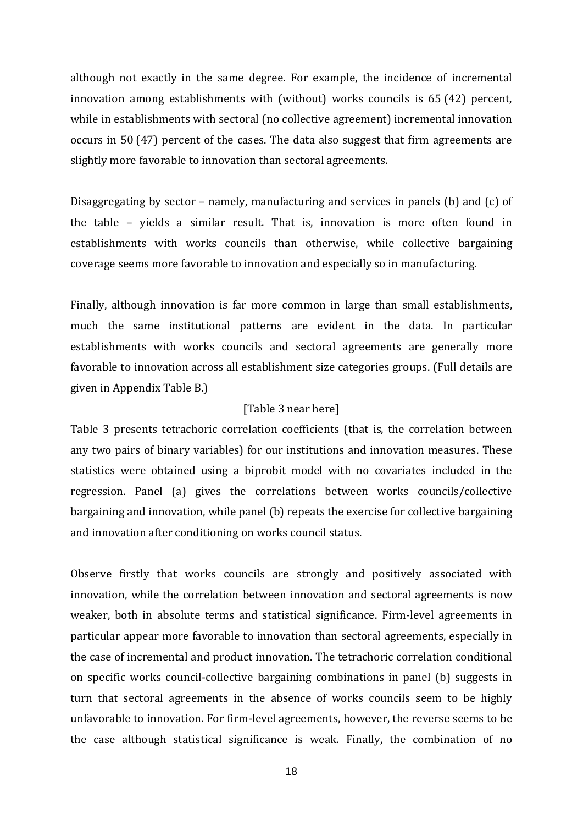although not exactly in the same degree. For example, the incidence of incremental innovation among establishments with (without) works councils is 65 (42) percent, while in establishments with sectoral (no collective agreement) incremental innovation occurs in 50 (47) percent of the cases. The data also suggest that firm agreements are slightly more favorable to innovation than sectoral agreements.

Disaggregating by sector – namely, manufacturing and services in panels (b) and (c) of the table – yields a similar result. That is, innovation is more often found in establishments with works councils than otherwise, while collective bargaining coverage seems more favorable to innovation and especially so in manufacturing.

Finally, although innovation is far more common in large than small establishments, much the same institutional patterns are evident in the data. In particular establishments with works councils and sectoral agreements are generally more favorable to innovation across all establishment size categories groups. (Full details are given in Appendix Table B.)

#### [Table 3 near here]

Table 3 presents tetrachoric correlation coefficients (that is, the correlation between any two pairs of binary variables) for our institutions and innovation measures. These statistics were obtained using a biprobit model with no covariates included in the regression. Panel (a) gives the correlations between works councils/collective bargaining and innovation, while panel (b) repeats the exercise for collective bargaining and innovation after conditioning on works council status.

Observe firstly that works councils are strongly and positively associated with innovation, while the correlation between innovation and sectoral agreements is now weaker, both in absolute terms and statistical significance. Firm-level agreements in particular appear more favorable to innovation than sectoral agreements, especially in the case of incremental and product innovation. The tetrachoric correlation conditional on specific works council-collective bargaining combinations in panel (b) suggests in turn that sectoral agreements in the absence of works councils seem to be highly unfavorable to innovation. For firm-level agreements, however, the reverse seems to be the case although statistical significance is weak. Finally, the combination of no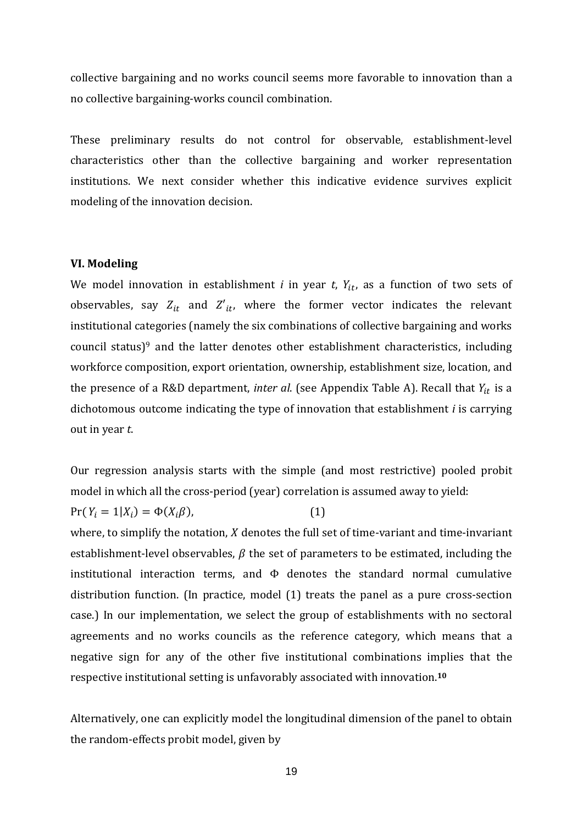collective bargaining and no works council seems more favorable to innovation than a no collective bargaining-works council combination.

These preliminary results do not control for observable, establishment-level characteristics other than the collective bargaining and worker representation institutions. We next consider whether this indicative evidence survives explicit modeling of the innovation decision.

#### **VI. Modeling**

We model innovation in establishment *i* in year *t*,  $Y_{it}$ , as a function of two sets of observables, say  $Z_{it}$  and  $Z'_{it}$ , where the former vector indicates the relevant institutional categories (namely the six combinations of collective bargaining and works council status)<sup>9</sup> and the latter denotes other establishment characteristics, including workforce composition, export orientation, ownership, establishment size, location, and the presence of a R&D department, *inter al.* (see Appendix Table A). Recall that  $Y_{it}$  is a dichotomous outcome indicating the type of innovation that establishment *i* is carrying out in year *t*.

Our regression analysis starts with the simple (and most restrictive) pooled probit model in which all the cross-period (year) correlation is assumed away to yield:  $Pr(Y_i = 1 | X_i) = \Phi(X_i \beta),$  (1)

where, to simplify the notation,  $X$  denotes the full set of time-variant and time-invariant establishment-level observables,  $\beta$  the set of parameters to be estimated, including the institutional interaction terms, and  $\Phi$  denotes the standard normal cumulative distribution function. (In practice, model (1) treats the panel as a pure cross-section case.) In our implementation, we select the group of establishments with no sectoral agreements and no works councils as the reference category, which means that a negative sign for any of the other five institutional combinations implies that the respective institutional setting is unfavorably associated with innovation.**<sup>10</sup>**

Alternatively, one can explicitly model the longitudinal dimension of the panel to obtain the random-effects probit model, given by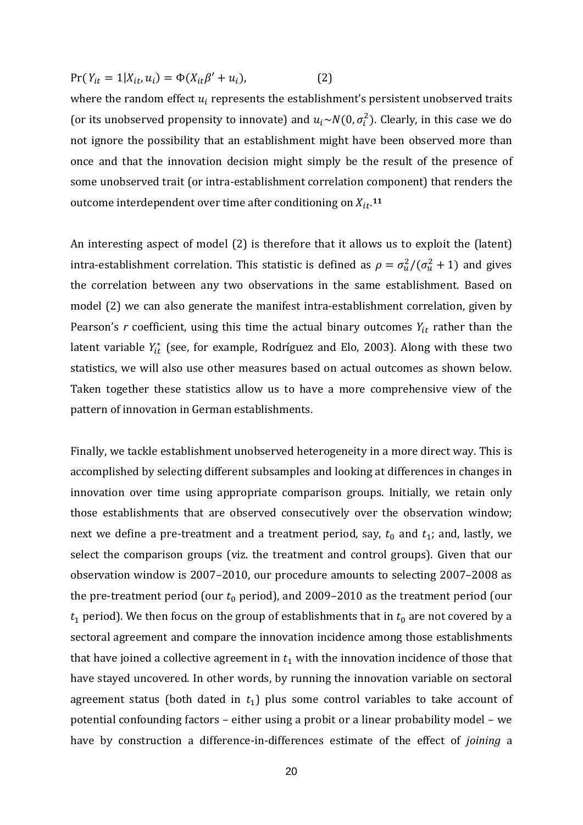$Pr(Y_{it} = 1 | X_{it}, u_i) = \Phi(X_{it} \beta' + u_i),$  (2)

where the random effect  $u_i$  represents the establishment's persistent unobserved traits (or its unobserved propensity to innovate) and  $u_i \sim N(0, \sigma_i^2)$ . Clearly, in this case we do not ignore the possibility that an establishment might have been observed more than once and that the innovation decision might simply be the result of the presence of some unobserved trait (or intra-establishment correlation component) that renders the outcome interdependent over time after conditioning on  $X_{it}$ .<sup>11</sup>

An interesting aspect of model (2) is therefore that it allows us to exploit the (latent) intra-establishment correlation. This statistic is defined as  $\rho = \sigma_u^2/(\sigma_u^2 + 1)$  and gives the correlation between any two observations in the same establishment. Based on model (2) we can also generate the manifest intra-establishment correlation, given by Pearson's  $r$  coefficient, using this time the actual binary outcomes  $Y_{it}$  rather than the latent variable  $Y_{it}^*$  (see, for example, Rodríguez and Elo, 2003). Along with these two statistics, we will also use other measures based on actual outcomes as shown below. Taken together these statistics allow us to have a more comprehensive view of the pattern of innovation in German establishments.

Finally, we tackle establishment unobserved heterogeneity in a more direct way. This is accomplished by selecting different subsamples and looking at differences in changes in innovation over time using appropriate comparison groups. Initially, we retain only those establishments that are observed consecutively over the observation window; next we define a pre-treatment and a treatment period, say,  $t_0$  and  $t_1$ ; and, lastly, we select the comparison groups (viz. the treatment and control groups). Given that our observation window is 2007–2010, our procedure amounts to selecting 2007–2008 as the pre-treatment period (our  $t_0$  period), and 2009–2010 as the treatment period (our  $t_1$  period). We then focus on the group of establishments that in  $t_0$  are not covered by a sectoral agreement and compare the innovation incidence among those establishments that have joined a collective agreement in  $t_1$  with the innovation incidence of those that have stayed uncovered. In other words, by running the innovation variable on sectoral agreement status (both dated in  $t_1$ ) plus some control variables to take account of potential confounding factors – either using a probit or a linear probability model – we have by construction a difference-in-differences estimate of the effect of *joining* a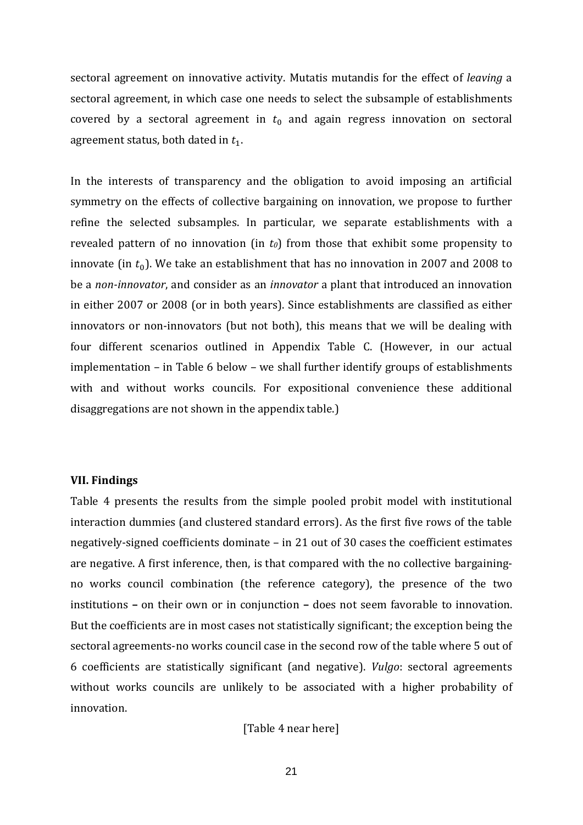sectoral agreement on innovative activity. Mutatis mutandis for the effect of *leaving* a sectoral agreement, in which case one needs to select the subsample of establishments covered by a sectoral agreement in  $t_0$  and again regress innovation on sectoral agreement status, both dated in  $t_1$ .

In the interests of transparency and the obligation to avoid imposing an artificial symmetry on the effects of collective bargaining on innovation, we propose to further refine the selected subsamples. In particular, we separate establishments with a revealed pattern of no innovation (in  $t_0$ ) from those that exhibit some propensity to innovate (in  $t_0$ ). We take an establishment that has no innovation in 2007 and 2008 to be a *non-innovator*, and consider as an *innovator* a plant that introduced an innovation in either 2007 or 2008 (or in both years). Since establishments are classified as either innovators or non-innovators (but not both), this means that we will be dealing with four different scenarios outlined in Appendix Table C. (However, in our actual implementation – in Table 6 below – we shall further identify groups of establishments with and without works councils. For expositional convenience these additional disaggregations are not shown in the appendix table.)

#### **VII. Findings**

Table 4 presents the results from the simple pooled probit model with institutional interaction dummies (and clustered standard errors). As the first five rows of the table negatively-signed coefficients dominate – in 21 out of 30 cases the coefficient estimates are negative. A first inference, then, is that compared with the no collective bargainingno works council combination (the reference category), the presence of the two institutions **–** on their own or in conjunction **–** does not seem favorable to innovation. But the coefficients are in most cases not statistically significant; the exception being the sectoral agreements-no works council case in the second row of the table where 5 out of 6 coefficients are statistically significant (and negative). *Vulgo*: sectoral agreements without works councils are unlikely to be associated with a higher probability of innovation.

[Table 4 near here]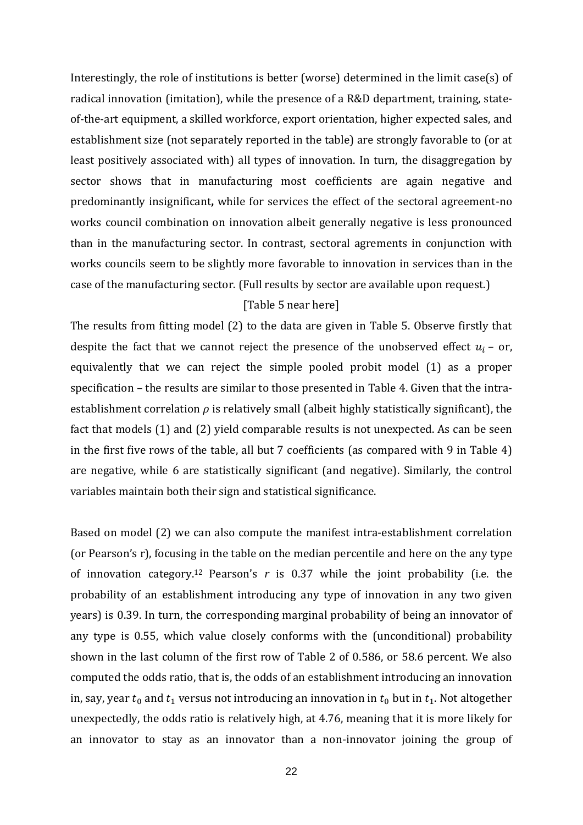Interestingly, the role of institutions is better (worse) determined in the limit case(s) of radical innovation (imitation), while the presence of a R&D department, training, stateof-the-art equipment, a skilled workforce, export orientation, higher expected sales, and establishment size (not separately reported in the table) are strongly favorable to (or at least positively associated with) all types of innovation. In turn, the disaggregation by sector shows that in manufacturing most coefficients are again negative and predominantly insignificant**,** while for services the effect of the sectoral agreement-no works council combination on innovation albeit generally negative is less pronounced than in the manufacturing sector. In contrast, sectoral agrements in conjunction with works councils seem to be slightly more favorable to innovation in services than in the case of the manufacturing sector. (Full results by sector are available upon request.)

#### [Table 5 near here]

The results from fitting model (2) to the data are given in Table 5. Observe firstly that despite the fact that we cannot reject the presence of the unobserved effect  $u_i$  – or, equivalently that we can reject the simple pooled probit model (1) as a proper specification – the results are similar to those presented in Table 4. Given that the intraestablishment correlation *ρ* is relatively small (albeit highly statistically significant), the fact that models (1) and (2) yield comparable results is not unexpected. As can be seen in the first five rows of the table, all but 7 coefficients (as compared with 9 in Table 4) are negative, while 6 are statistically significant (and negative). Similarly, the control variables maintain both their sign and statistical significance.

Based on model (2) we can also compute the manifest intra-establishment correlation (or Pearson's r), focusing in the table on the median percentile and here on the any type of innovation category.12 Pearson's *r* is 0.37 while the joint probability (i.e. the probability of an establishment introducing any type of innovation in any two given years) is 0.39. In turn, the corresponding marginal probability of being an innovator of any type is 0.55, which value closely conforms with the (unconditional) probability shown in the last column of the first row of Table 2 of 0.586, or 58.6 percent. We also computed the odds ratio, that is, the odds of an establishment introducing an innovation in, say, year  $t_0$  and  $t_1$  versus not introducing an innovation in  $t_0$  but in  $t_1$ . Not altogether unexpectedly, the odds ratio is relatively high, at 4.76, meaning that it is more likely for an innovator to stay as an innovator than a non-innovator joining the group of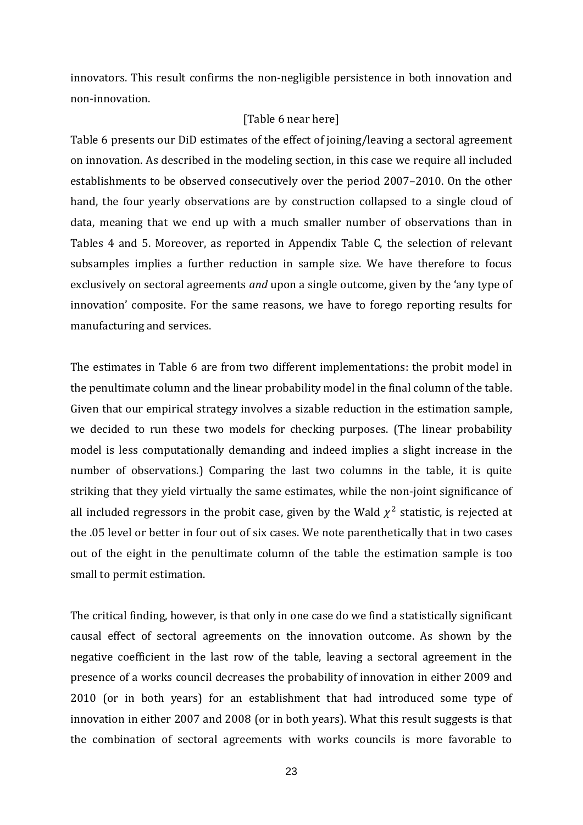innovators. This result confirms the non-negligible persistence in both innovation and non-innovation.

#### [Table 6 near here]

Table 6 presents our DiD estimates of the effect of joining/leaving a sectoral agreement on innovation. As described in the modeling section, in this case we require all included establishments to be observed consecutively over the period 2007–2010. On the other hand, the four yearly observations are by construction collapsed to a single cloud of data, meaning that we end up with a much smaller number of observations than in Tables 4 and 5. Moreover, as reported in Appendix Table C, the selection of relevant subsamples implies a further reduction in sample size. We have therefore to focus exclusively on sectoral agreements *and* upon a single outcome, given by the 'any type of innovation' composite. For the same reasons, we have to forego reporting results for manufacturing and services.

The estimates in Table 6 are from two different implementations: the probit model in the penultimate column and the linear probability model in the final column of the table. Given that our empirical strategy involves a sizable reduction in the estimation sample, we decided to run these two models for checking purposes. (The linear probability model is less computationally demanding and indeed implies a slight increase in the number of observations.) Comparing the last two columns in the table, it is quite striking that they yield virtually the same estimates, while the non-joint significance of all included regressors in the probit case, given by the Wald  $\chi^2$  statistic, is rejected at the .05 level or better in four out of six cases. We note parenthetically that in two cases out of the eight in the penultimate column of the table the estimation sample is too small to permit estimation.

The critical finding, however, is that only in one case do we find a statistically significant causal effect of sectoral agreements on the innovation outcome. As shown by the negative coefficient in the last row of the table, leaving a sectoral agreement in the presence of a works council decreases the probability of innovation in either 2009 and 2010 (or in both years) for an establishment that had introduced some type of innovation in either 2007 and 2008 (or in both years). What this result suggests is that the combination of sectoral agreements with works councils is more favorable to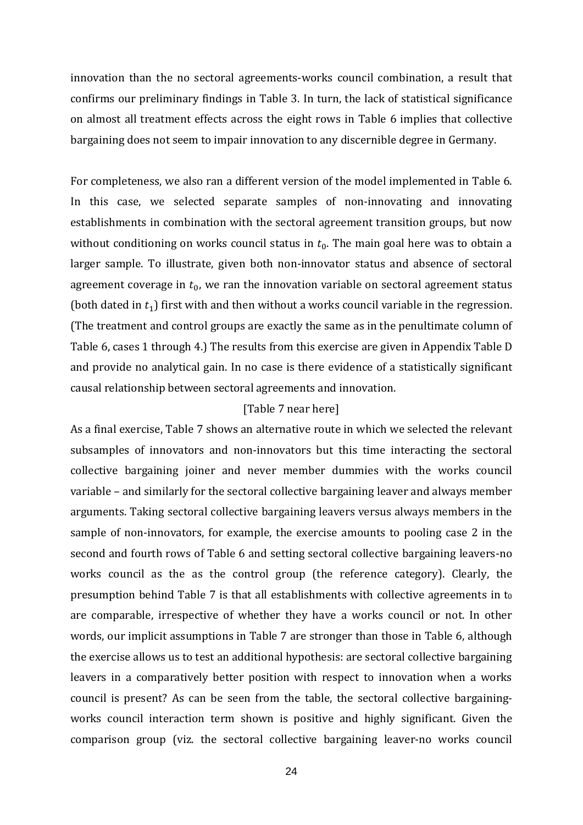innovation than the no sectoral agreements-works council combination, a result that confirms our preliminary findings in Table 3. In turn, the lack of statistical significance on almost all treatment effects across the eight rows in Table 6 implies that collective bargaining does not seem to impair innovation to any discernible degree in Germany.

For completeness, we also ran a different version of the model implemented in Table 6. In this case, we selected separate samples of non-innovating and innovating establishments in combination with the sectoral agreement transition groups, but now without conditioning on works council status in  $t<sub>0</sub>$ . The main goal here was to obtain a larger sample. To illustrate, given both non-innovator status and absence of sectoral agreement coverage in  $t_0$ , we ran the innovation variable on sectoral agreement status (both dated in  $t_1$ ) first with and then without a works council variable in the regression. (The treatment and control groups are exactly the same as in the penultimate column of Table 6, cases 1 through 4.) The results from this exercise are given in Appendix Table D and provide no analytical gain. In no case is there evidence of a statistically significant causal relationship between sectoral agreements and innovation.

#### [Table 7 near here]

As a final exercise, Table 7 shows an alternative route in which we selected the relevant subsamples of innovators and non-innovators but this time interacting the sectoral collective bargaining joiner and never member dummies with the works council variable – and similarly for the sectoral collective bargaining leaver and always member arguments. Taking sectoral collective bargaining leavers versus always members in the sample of non-innovators, for example, the exercise amounts to pooling case 2 in the second and fourth rows of Table 6 and setting sectoral collective bargaining leavers-no works council as the as the control group (the reference category). Clearly, the presumption behind Table 7 is that all establishments with collective agreements in  $t_0$ are comparable, irrespective of whether they have a works council or not. In other words, our implicit assumptions in Table 7 are stronger than those in Table 6, although the exercise allows us to test an additional hypothesis: are sectoral collective bargaining leavers in a comparatively better position with respect to innovation when a works council is present? As can be seen from the table, the sectoral collective bargainingworks council interaction term shown is positive and highly significant. Given the comparison group (viz. the sectoral collective bargaining leaver-no works council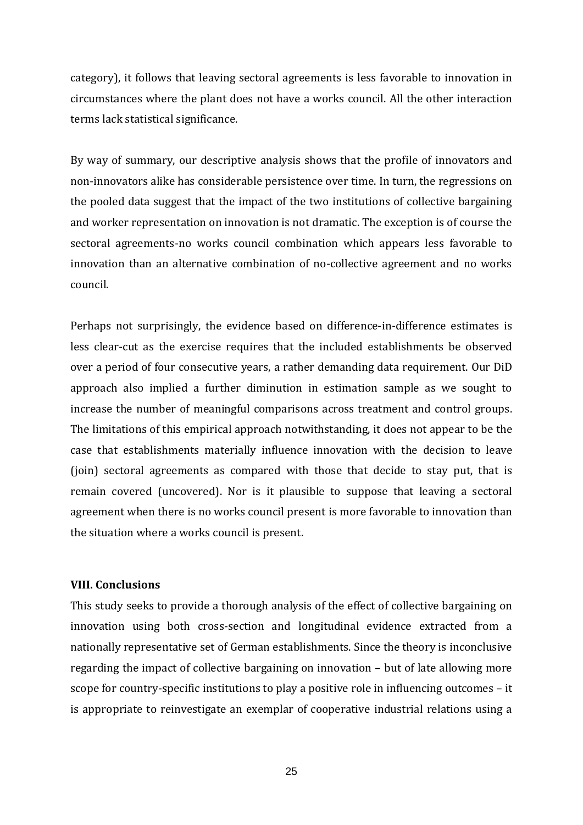category), it follows that leaving sectoral agreements is less favorable to innovation in circumstances where the plant does not have a works council. All the other interaction terms lack statistical significance.

By way of summary, our descriptive analysis shows that the profile of innovators and non-innovators alike has considerable persistence over time. In turn, the regressions on the pooled data suggest that the impact of the two institutions of collective bargaining and worker representation on innovation is not dramatic. The exception is of course the sectoral agreements-no works council combination which appears less favorable to innovation than an alternative combination of no-collective agreement and no works council.

Perhaps not surprisingly, the evidence based on difference-in-difference estimates is less clear-cut as the exercise requires that the included establishments be observed over a period of four consecutive years, a rather demanding data requirement. Our DiD approach also implied a further diminution in estimation sample as we sought to increase the number of meaningful comparisons across treatment and control groups. The limitations of this empirical approach notwithstanding, it does not appear to be the case that establishments materially influence innovation with the decision to leave (join) sectoral agreements as compared with those that decide to stay put, that is remain covered (uncovered). Nor is it plausible to suppose that leaving a sectoral agreement when there is no works council present is more favorable to innovation than the situation where a works council is present.

#### **VIII. Conclusions**

This study seeks to provide a thorough analysis of the effect of collective bargaining on innovation using both cross-section and longitudinal evidence extracted from a nationally representative set of German establishments. Since the theory is inconclusive regarding the impact of collective bargaining on innovation – but of late allowing more scope for country-specific institutions to play a positive role in influencing outcomes – it is appropriate to reinvestigate an exemplar of cooperative industrial relations using a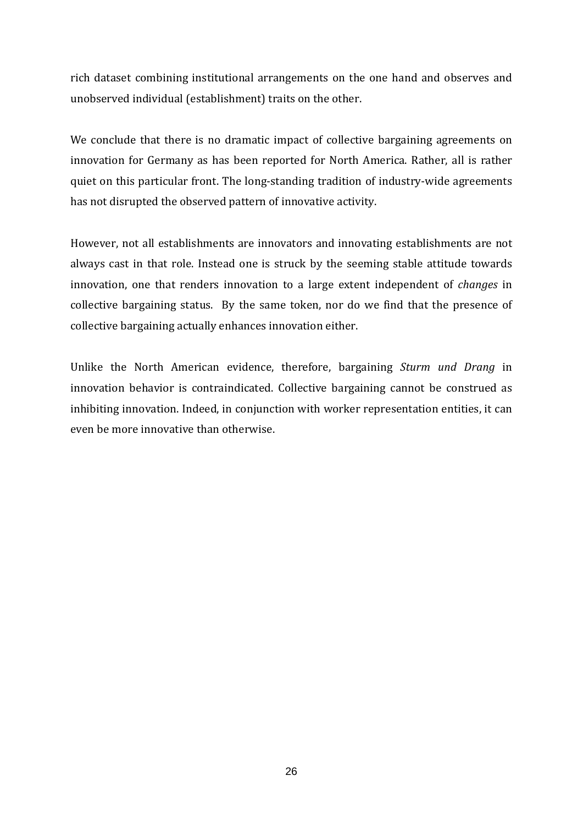rich dataset combining institutional arrangements on the one hand and observes and unobserved individual (establishment) traits on the other.

We conclude that there is no dramatic impact of collective bargaining agreements on innovation for Germany as has been reported for North America. Rather, all is rather quiet on this particular front. The long-standing tradition of industry-wide agreements has not disrupted the observed pattern of innovative activity.

However, not all establishments are innovators and innovating establishments are not always cast in that role. Instead one is struck by the seeming stable attitude towards innovation, one that renders innovation to a large extent independent of *changes* in collective bargaining status. By the same token, nor do we find that the presence of collective bargaining actually enhances innovation either.

Unlike the North American evidence, therefore, bargaining *Sturm und Drang* in innovation behavior is contraindicated. Collective bargaining cannot be construed as inhibiting innovation. Indeed, in conjunction with worker representation entities, it can even be more innovative than otherwise.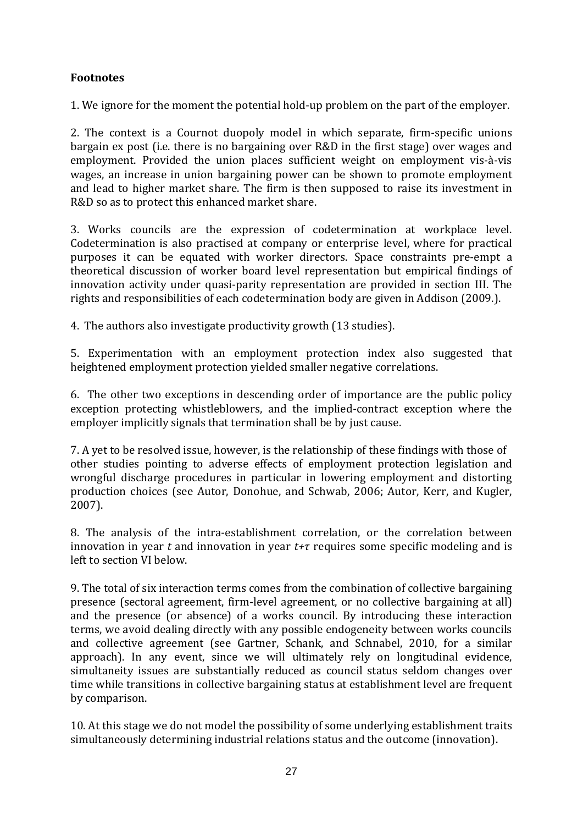### **Footnotes**

1. We ignore for the moment the potential hold-up problem on the part of the employer.

2. The context is a Cournot duopoly model in which separate, firm-specific unions bargain ex post (i.e. there is no bargaining over R&D in the first stage) over wages and employment. Provided the union places sufficient weight on employment vis-à-vis wages, an increase in union bargaining power can be shown to promote employment and lead to higher market share. The firm is then supposed to raise its investment in R&D so as to protect this enhanced market share.

3. Works councils are the expression of codetermination at workplace level. Codetermination is also practised at company or enterprise level, where for practical purposes it can be equated with worker directors. Space constraints pre-empt a theoretical discussion of worker board level representation but empirical findings of innovation activity under quasi-parity representation are provided in section III. The rights and responsibilities of each codetermination body are given in Addison (2009.).

4. The authors also investigate productivity growth (13 studies).

5. Experimentation with an employment protection index also suggested that heightened employment protection yielded smaller negative correlations.

6. The other two exceptions in descending order of importance are the public policy exception protecting whistleblowers, and the implied-contract exception where the employer implicitly signals that termination shall be by just cause.

7. A yet to be resolved issue, however, is the relationship of these findings with those of other studies pointing to adverse effects of employment protection legislation and wrongful discharge procedures in particular in lowering employment and distorting production choices (see Autor, Donohue, and Schwab, 2006; Autor, Kerr, and Kugler, 2007).

8. The analysis of the intra-establishment correlation, or the correlation between innovation in year  $t$  and innovation in year  $t+\tau$  requires some specific modeling and is left to section VI below.

9. The total of six interaction terms comes from the combination of collective bargaining presence (sectoral agreement, firm-level agreement, or no collective bargaining at all) and the presence (or absence) of a works council. By introducing these interaction terms, we avoid dealing directly with any possible endogeneity between works councils and collective agreement (see Gartner, Schank, and Schnabel, 2010, for a similar approach). In any event, since we will ultimately rely on longitudinal evidence, simultaneity issues are substantially reduced as council status seldom changes over time while transitions in collective bargaining status at establishment level are frequent by comparison.

10. At this stage we do not model the possibility of some underlying establishment traits simultaneously determining industrial relations status and the outcome (innovation).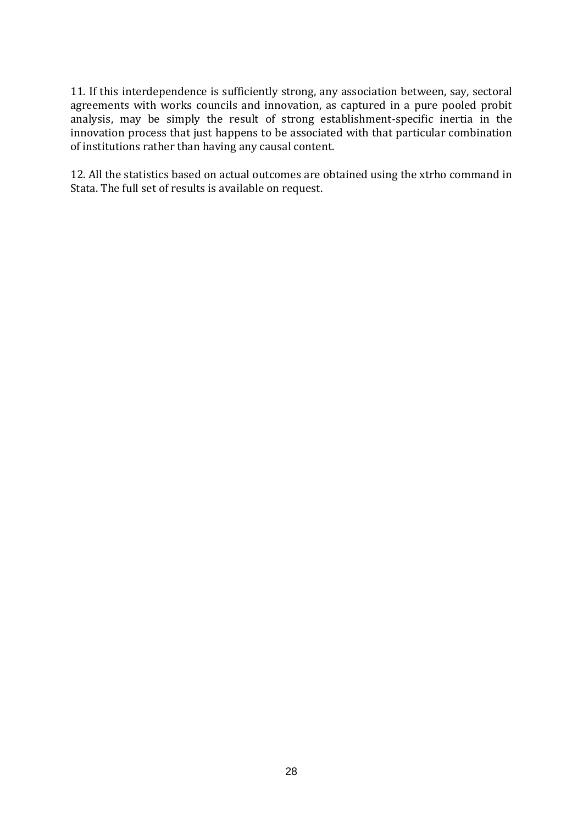11. If this interdependence is sufficiently strong, any association between, say, sectoral agreements with works councils and innovation, as captured in a pure pooled probit analysis, may be simply the result of strong establishment-specific inertia in the innovation process that just happens to be associated with that particular combination of institutions rather than having any causal content.

12. All the statistics based on actual outcomes are obtained using the xtrho command in Stata. The full set of results is available on request.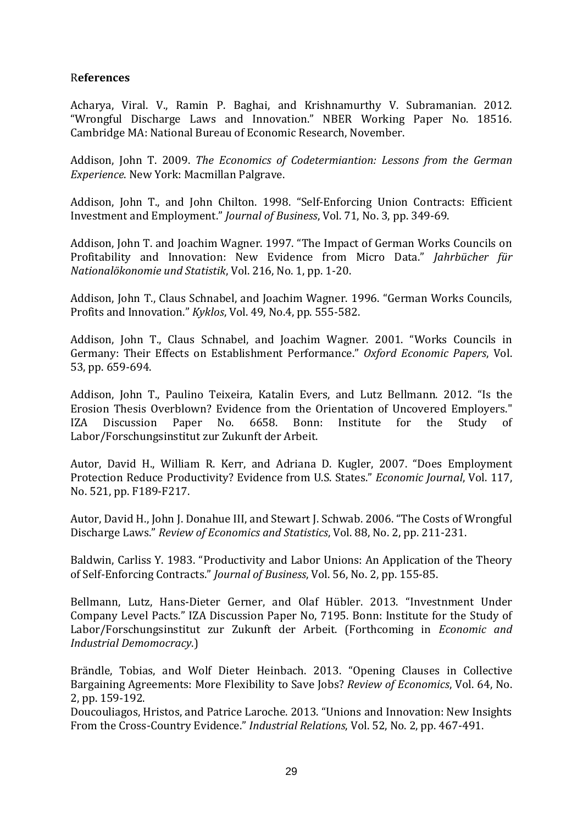#### R**eferences**

Acharya, Viral. V., Ramin P. Baghai, and Krishnamurthy V. Subramanian. 2012. "Wrongful Discharge Laws and Innovation." NBER Working Paper No. 18516. Cambridge MA: National Bureau of Economic Research, November.

Addison, John T. 2009. *The Economics of Codetermiantion: Lessons from the German Experience*. New York: Macmillan Palgrave.

Addison, John T., and John Chilton. 1998. "Self-Enforcing Union Contracts: Efficient Investment and Employment." *Journal of Business*, Vol. 71, No. 3, pp. 349-69.

Addison, John T. and Joachim Wagner. 1997. "The Impact of German Works Councils on Profitability and Innovation: New Evidence from Micro Data." *Jahrbücher für Nationalökonomie und Statistik*, Vol. 216, No. 1, pp. 1-20.

Addison, John T., Claus Schnabel, and Joachim Wagner. 1996. "German Works Councils, Profits and Innovation." *Kyklos*, Vol. 49, No.4, pp. 555-582.

Addison, John T., Claus Schnabel, and Joachim Wagner. 2001. "Works Councils in Germany: Their Effects on Establishment Performance." *Oxford Economic Papers*, Vol. 53, pp. 659-694.

Addison, John T., Paulino Teixeira, Katalin Evers, and Lutz Bellmann. 2012. "Is the Erosion Thesis Overblown? Evidence from the Orientation of Uncovered Employers."<br>IZA Discussion Paper No. 6658. Bonn: Institute for the Study of IZA Discussion Paper No. 6658. Bonn: Institute for the Study of Labor/Forschungsinstitut zur Zukunft der Arbeit.

Autor, David H., William R. Kerr, and Adriana D. Kugler, 2007. "Does Employment Protection Reduce Productivity? Evidence from U.S. States." *Economic Journal*, Vol. 117, No. 521, pp. F189-F217.

Autor, David H., John J. Donahue III, and Stewart J. Schwab. 2006. "The Costs of Wrongful Discharge Laws." *Review of Economics and Statistics*, Vol. 88, No. 2, pp. 211-231.

Baldwin, Carliss Y. 1983. "Productivity and Labor Unions: An Application of the Theory of Self-Enforcing Contracts." *Journal of Business*, Vol. 56, No. 2, pp. 155-85.

Bellmann, Lutz, Hans-Dieter Gerner, and Olaf Hübler. 2013. "Investnment Under Company Level Pacts." IZA Discussion Paper No, 7195. Bonn: Institute for the Study of Labor/Forschungsinstitut zur Zukunft der Arbeit. (Forthcoming in *Economic and Industrial Demomocracy*.)

Brändle, Tobias, and Wolf Dieter Heinbach. 2013. "Opening Clauses in Collective Bargaining Agreements: More Flexibility to Save Jobs? *Review of Economics*, Vol. 64, No. 2, pp. 159-192.

Doucouliagos, Hristos, and Patrice Laroche. 2013. "Unions and Innovation: New Insights From the Cross-Country Evidence." *Industrial Relations*, Vol. 52, No. 2, pp. 467-491.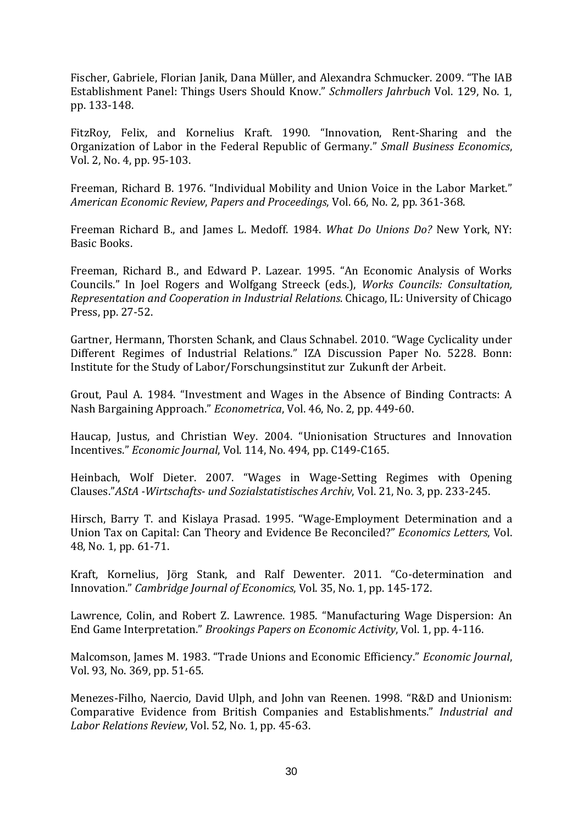Fischer, Gabriele, Florian Janik, Dana Müller, and Alexandra Schmucker. 2009. "The IAB Establishment Panel: Things Users Should Know." *Schmollers Jahrbuch* Vol. 129, No. 1, pp. 133-148.

FitzRoy, Felix, and Kornelius Kraft. 1990. "Innovation, Rent-Sharing and the Organization of Labor in the Federal Republic of Germany." *Small Business Economics*, Vol. 2, No. 4, pp. 95-103.

Freeman, Richard B. 1976. "Individual Mobility and Union Voice in the Labor Market." *American Economic Review*, *Papers and Proceedings*, Vol. 66, No. 2, pp. 361-368.

Freeman Richard B., and James L. Medoff. 1984. *What Do Unions Do?* New York, NY: Basic Books.

Freeman, Richard B., and Edward P. Lazear. 1995. "An Economic Analysis of Works Councils." In Joel Rogers and Wolfgang Streeck (eds.), *Works Councils: Consultation, Representation and Cooperation in Industrial Relations*. Chicago, IL: University of Chicago Press, pp. 27-52.

Gartner, Hermann, Thorsten Schank, and Claus Schnabel. 2010. "Wage Cyclicality under Different Regimes of Industrial Relations." IZA Discussion Paper No. 5228. Bonn: Institute for the Study of Labor/Forschungsinstitut zur Zukunft der Arbeit.

Grout, Paul A. 1984. "Investment and Wages in the Absence of Binding Contracts: A Nash Bargaining Approach." *Econometrica*, Vol. 46, No. 2, pp. 449-60.

Haucap, Justus, and Christian Wey. 2004. "Unionisation Structures and Innovation Incentives." *Economic Journal*, Vol. 114, No. 494, pp. C149-C165.

Heinbach, Wolf Dieter. 2007. "Wages in Wage-Setting Regimes with Opening Clauses."*AStA -Wirtschafts- und Sozialstatistisches Archiv*, Vol. 21, No. 3, pp. 233-245.

Hirsch, Barry T. and Kislaya Prasad. 1995. "Wage-Employment Determination and a Union Tax on Capital: Can Theory and Evidence Be Reconciled?" *Economics Letters*, Vol. 48, No. 1, pp. 61-71.

Kraft, Kornelius, Jörg Stank, and Ralf Dewenter. 2011. "Co-determination and Innovation." *Cambridge Journal of Economics*, Vol. 35, No. 1, pp. 145-172.

Lawrence, Colin, and Robert Z. Lawrence. 1985. "Manufacturing Wage Dispersion: An End Game Interpretation." *Brookings Papers on Economic Activity*, Vol. 1, pp. 4-116.

Malcomson, James M. 1983. "Trade Unions and Economic Efficiency." *Economic Journal*, Vol. 93, No. 369, pp. 51-65.

Menezes-Filho, Naercio, David Ulph, and John van Reenen. 1998. "R&D and Unionism: Comparative Evidence from British Companies and Establishments." *Industrial and Labor Relations Review*, Vol. 52, No. 1, pp. 45-63.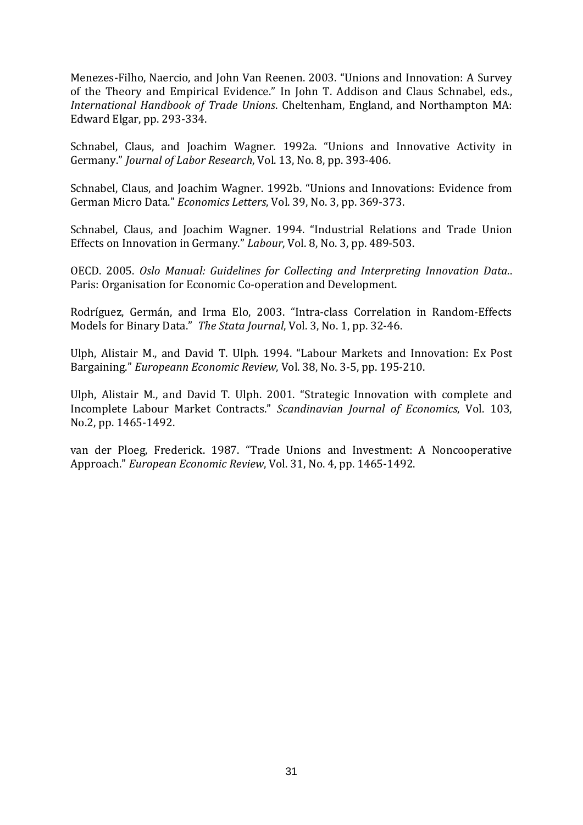Menezes-Filho, Naercio, and John Van Reenen. 2003. "Unions and Innovation: A Survey of the Theory and Empirical Evidence." In John T. Addison and Claus Schnabel, eds., *International Handbook of Trade Unions*. Cheltenham, England, and Northampton MA: Edward Elgar, pp. 293-334.

Schnabel, Claus, and Joachim Wagner. 1992a. "Unions and Innovative Activity in Germany." *Journal of Labor Research*, Vol. 13, No. 8, pp. 393-406.

Schnabel, Claus, and Joachim Wagner. 1992b. "Unions and Innovations: Evidence from German Micro Data." *Economics Letters*, Vol. 39, No. 3, pp. 369-373.

Schnabel, Claus, and Joachim Wagner. 1994. "Industrial Relations and Trade Union Effects on Innovation in Germany." *Labour*, Vol. 8, No. 3, pp. 489-503.

OECD. 2005. *Oslo Manual: Guidelines for Collecting and Interpreting Innovation Data.*. Paris: Organisation for Economic Co-operation and Development.

Rodríguez, Germán, and Irma Elo, 2003. "Intra-class Correlation in Random-Effects Models for Binary Data." *The Stata Journal*, Vol. 3, No. 1, pp. 32-46.

Ulph, Alistair M., and David T. Ulph. 1994. "Labour Markets and Innovation: Ex Post Bargaining." *Europeann Economic Review*, Vol. 38, No. 3-5, pp. 195-210.

Ulph, Alistair M., and David T. Ulph. 2001. "Strategic Innovation with complete and Incomplete Labour Market Contracts." *Scandinavian Journal of Economics*, Vol. 103, No.2, pp. 1465-1492.

van der Ploeg, Frederick. 1987. "Trade Unions and Investment: A Noncooperative Approach." *European Economic Review*, Vol. 31, No. 4, pp. 1465-1492.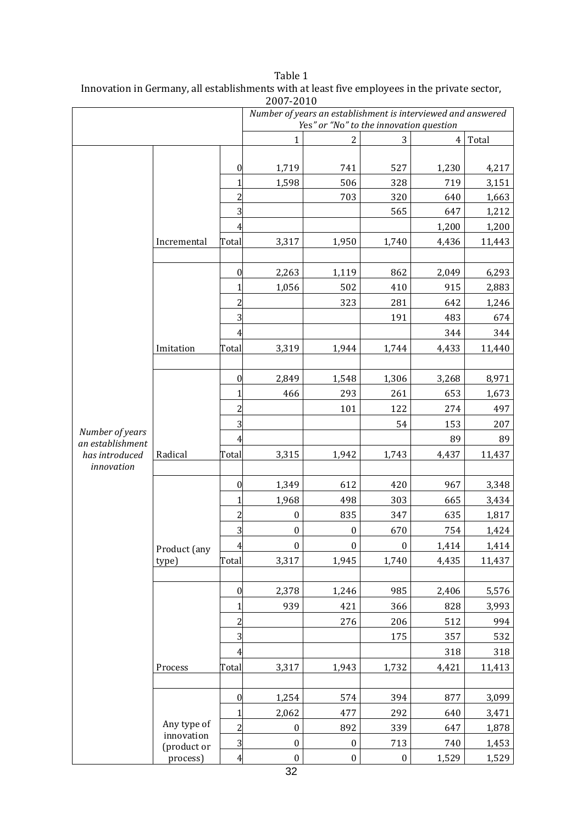|                                    |                           |                  | 2007-2010        |                                                              |                  |                |        |
|------------------------------------|---------------------------|------------------|------------------|--------------------------------------------------------------|------------------|----------------|--------|
|                                    |                           |                  |                  | Number of years an establishment is interviewed and answered |                  |                |        |
|                                    |                           |                  |                  | Yes" or "No" to the innovation question                      |                  |                |        |
|                                    |                           |                  | 1                | $\overline{2}$                                               | 3                | $\overline{4}$ | Total  |
|                                    |                           |                  |                  |                                                              |                  |                |        |
|                                    |                           | 0                | 1,719            | 741                                                          | 527              | 1,230          | 4,217  |
|                                    |                           | 1                | 1,598            | 506                                                          | 328              | 719            | 3,151  |
|                                    |                           | $\overline{c}$   |                  | 703                                                          | 320              | 640            | 1,663  |
|                                    |                           | 3                |                  |                                                              | 565              | 647            | 1,212  |
|                                    |                           | 4                |                  |                                                              |                  | 1,200          | 1,200  |
|                                    | Incremental               | Total            | 3,317            | 1,950                                                        | 1,740            | 4,436          | 11,443 |
|                                    |                           |                  |                  |                                                              |                  |                |        |
|                                    |                           | $\boldsymbol{0}$ | 2,263            | 1,119                                                        | 862              | 2,049          | 6,293  |
|                                    |                           | $\mathbf{1}$     | 1,056            | 502                                                          | 410              | 915            | 2,883  |
|                                    |                           | $\overline{c}$   |                  | 323                                                          | 281              | 642            | 1,246  |
|                                    |                           | $\overline{3}$   |                  |                                                              | 191              | 483            | 674    |
|                                    |                           | 4                |                  |                                                              |                  | 344            | 344    |
|                                    | Imitation                 | Total            | 3,319            | 1,944                                                        | 1,744            | 4,433          | 11,440 |
|                                    |                           |                  |                  |                                                              |                  |                |        |
|                                    |                           | $\boldsymbol{0}$ | 2,849            | 1,548                                                        | 1,306            | 3,268          | 8,971  |
|                                    |                           | 1                | 466              | 293                                                          | 261              | 653            | 1,673  |
|                                    |                           | $\overline{c}$   |                  | 101                                                          | 122              | 274            | 497    |
|                                    |                           | 3                |                  |                                                              | 54               | 153            | 207    |
| Number of years                    |                           | 4                |                  |                                                              |                  | 89             | 89     |
| an establishment<br>has introduced | Radical                   | Total            | 3,315            | 1,942                                                        | 1,743            | 4,437          | 11,437 |
| innovation                         |                           |                  |                  |                                                              |                  |                |        |
|                                    |                           | $\boldsymbol{0}$ | 1,349            | 612                                                          | 420              | 967            | 3,348  |
|                                    |                           | 1                | 1,968            | 498                                                          | 303              | 665            | 3,434  |
|                                    |                           | $\overline{c}$   | $\boldsymbol{0}$ | 835                                                          | 347              | 635            | 1,817  |
|                                    |                           | $\overline{3}$   | $\boldsymbol{0}$ | $\boldsymbol{0}$                                             | 670              | 754            | 1,424  |
|                                    |                           | $\overline{4}$   | $\boldsymbol{0}$ | $\boldsymbol{0}$                                             | $\boldsymbol{0}$ | 1,414          | 1,414  |
|                                    | Product (any<br>type)     | Total            | 3,317            | 1,945                                                        | 1,740            | 4,435          | 11,437 |
|                                    |                           |                  |                  |                                                              |                  |                |        |
|                                    |                           | $\boldsymbol{0}$ | 2,378            | 1,246                                                        | 985              | 2,406          |        |
|                                    |                           |                  | 939              | 421                                                          |                  | 828            | 5,576  |
|                                    |                           | 1                |                  |                                                              | 366              |                | 3,993  |
|                                    |                           | $\overline{c}$   |                  | 276                                                          | 206              | 512            | 994    |
|                                    |                           | $\overline{3}$   |                  |                                                              | 175              | 357            | 532    |
|                                    |                           | $\overline{4}$   |                  |                                                              |                  | 318            | 318    |
|                                    | Process                   | Total            | 3,317            | 1,943                                                        | 1,732            | 4,421          | 11,413 |
|                                    |                           |                  |                  |                                                              |                  |                |        |
|                                    |                           | $\boldsymbol{0}$ | 1,254            | 574                                                          | 394              | 877            | 3,099  |
|                                    |                           | 1                | 2,062            | 477                                                          | 292              | 640            | 3,471  |
|                                    | Any type of<br>innovation | $\overline{c}$   | $\boldsymbol{0}$ | 892                                                          | 339              | 647            | 1,878  |
|                                    | (product or               | $\overline{3}$   | $\boldsymbol{0}$ | $\boldsymbol{0}$                                             | 713              | 740            | 1,453  |
|                                    | process)                  | $\overline{4}$   | $\boldsymbol{0}$ | $\boldsymbol{0}$                                             | $\boldsymbol{0}$ | 1,529          | 1,529  |

| Table 1                                                                                       |
|-----------------------------------------------------------------------------------------------|
| Innovation in Germany, all establishments with at least five employees in the private sector, |
| 2007-2010                                                                                     |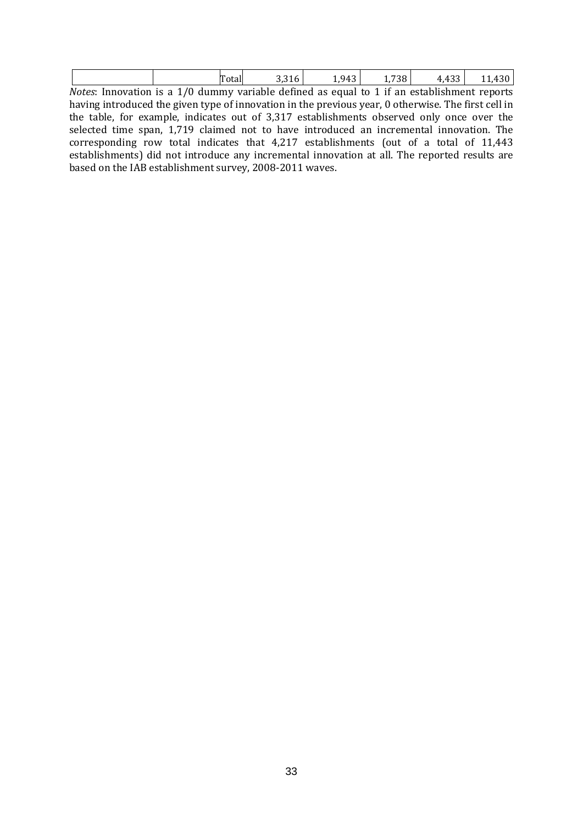|                            |       |                            | $94^\circ$  |           |                 |         |
|----------------------------|-------|----------------------------|-------------|-----------|-----------------|---------|
| Mofoc<br>e ai novestion de | 1 / N | defined<br>alummy variahla | nt leung se | if.<br>าท | actahlichmant – | ranorte |

*Notes*: Innovation is a 1/0 dummy variable defined as equal to 1 if an establishment reports having introduced the given type of innovation in the previous year, 0 otherwise. The first cell in the table, for example, indicates out of 3,317 establishments observed only once over the selected time span, 1,719 claimed not to have introduced an incremental innovation. The corresponding row total indicates that 4,217 establishments (out of a total of 11,443 establishments) did not introduce any incremental innovation at all. The reported results are based on the IAB establishment survey, 2008-2011 waves.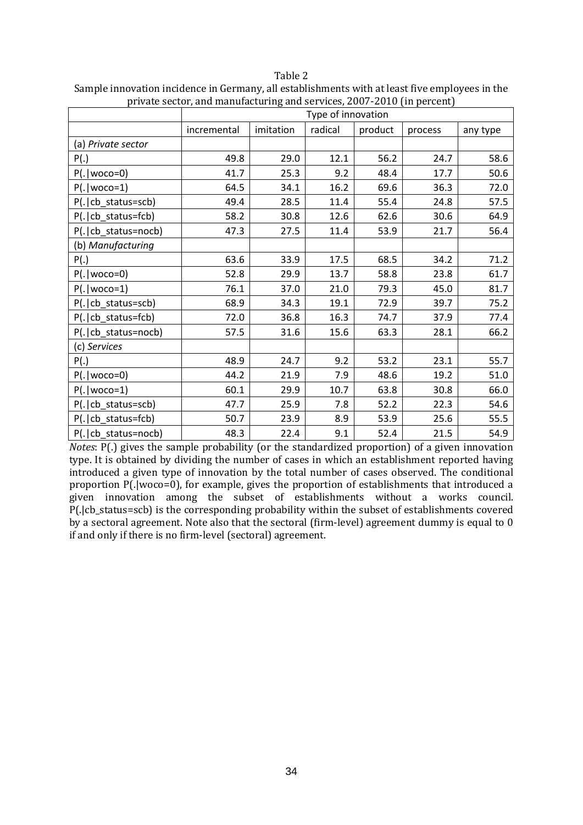Table 2

|                       | Type of innovation |           |         |         |         |          |  |  |
|-----------------------|--------------------|-----------|---------|---------|---------|----------|--|--|
|                       | incremental        | imitation | radical | product | process | any type |  |  |
| (a) Private sector    |                    |           |         |         |         |          |  |  |
| P(.)                  | 49.8               | 29.0      | 12.1    | 56.2    | 24.7    | 58.6     |  |  |
| $P(. woco=0)$         | 41.7               | 25.3      | 9.2     | 48.4    | 17.7    | 50.6     |  |  |
| $P(. woco=1)$         | 64.5               | 34.1      | 16.2    | 69.6    | 36.3    | 72.0     |  |  |
| P(. cb_status=scb)    | 49.4               | 28.5      | 11.4    | 55.4    | 24.8    | 57.5     |  |  |
| P(. cb_status=fcb)    | 58.2               | 30.8      | 12.6    | 62.6    | 30.6    | 64.9     |  |  |
| P(.   cb_status=nocb) | 47.3               | 27.5      | 11.4    | 53.9    | 21.7    | 56.4     |  |  |
| (b) Manufacturing     |                    |           |         |         |         |          |  |  |
| P(.)                  | 63.6               | 33.9      | 17.5    | 68.5    | 34.2    | 71.2     |  |  |
| $P(. woco=0)$         | 52.8               | 29.9      | 13.7    | 58.8    | 23.8    | 61.7     |  |  |
| $P(. woco=1)$         | 76.1               | 37.0      | 21.0    | 79.3    | 45.0    | 81.7     |  |  |
| P(. cb_status=scb)    | 68.9               | 34.3      | 19.1    | 72.9    | 39.7    | 75.2     |  |  |
| P(. cb_status=fcb)    | 72.0               | 36.8      | 16.3    | 74.7    | 37.9    | 77.4     |  |  |
| P(. cb_status=nocb)   | 57.5               | 31.6      | 15.6    | 63.3    | 28.1    | 66.2     |  |  |
| (c) Services          |                    |           |         |         |         |          |  |  |
| P(.)                  | 48.9               | 24.7      | 9.2     | 53.2    | 23.1    | 55.7     |  |  |
| $P(. woco=0)$         | 44.2               | 21.9      | 7.9     | 48.6    | 19.2    | 51.0     |  |  |
| $P(. woco=1)$         | 60.1               | 29.9      | 10.7    | 63.8    | 30.8    | 66.0     |  |  |
| P(. cb_status=scb)    | 47.7               | 25.9      | 7.8     | 52.2    | 22.3    | 54.6     |  |  |
| P(. cb_status=fcb)    | 50.7               | 23.9      | 8.9     | 53.9    | 25.6    | 55.5     |  |  |
| P(.   cb_status=nocb) | 48.3               | 22.4      | 9.1     | 52.4    | 21.5    | 54.9     |  |  |

Sample innovation incidence in Germany, all establishments with at least five employees in the private sector, and manufacturing and services, 2007-2010 (in percent)

*Notes*: P(.) gives the sample probability (or the standardized proportion) of a given innovation type. It is obtained by dividing the number of cases in which an establishment reported having introduced a given type of innovation by the total number of cases observed. The conditional proportion P(.|woco=0), for example, gives the proportion of establishments that introduced a given innovation among the subset of establishments without a works council. P(.|cb\_status=scb) is the corresponding probability within the subset of establishments covered by a sectoral agreement. Note also that the sectoral (firm-level) agreement dummy is equal to 0 if and only if there is no firm-level (sectoral) agreement.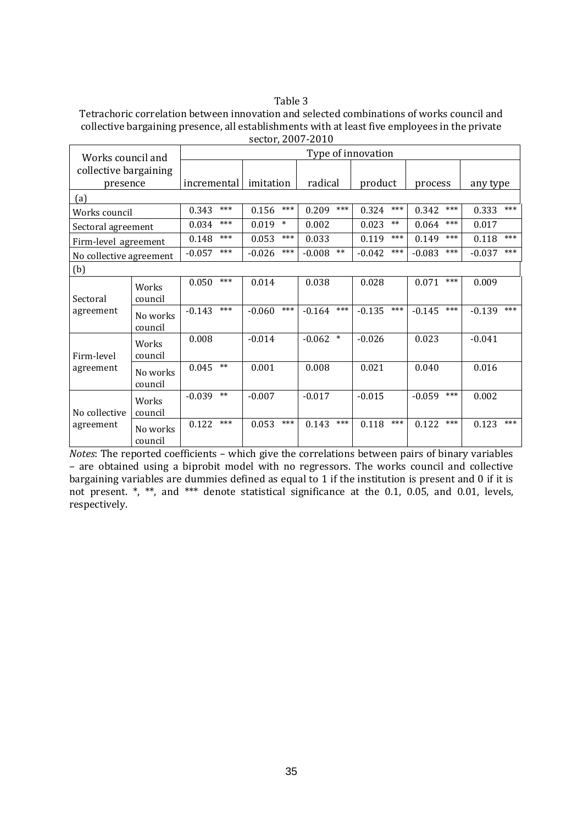#### Table 3

Tetrachoric correlation between innovation and selected combinations of works council and collective bargaining presence, all establishments with at least five employees in the private sector, 2007-2010

| Works council and       |                     |             |       |           |        |          | Type of innovation |          |       |          |       |          |       |
|-------------------------|---------------------|-------------|-------|-----------|--------|----------|--------------------|----------|-------|----------|-------|----------|-------|
| collective bargaining   |                     |             |       |           |        |          |                    |          |       |          |       |          |       |
| presence                |                     | incremental |       | imitation |        | radical  |                    | product  |       | process  |       | any type |       |
| (a)                     |                     |             |       |           |        |          |                    |          |       |          |       |          |       |
| Works council           |                     | 0.343       | ***   | 0.156     | $***$  | 0.209    | $***$              | 0.324    | $***$ | 0.342    | $***$ | 0.333    | $***$ |
| Sectoral agreement      |                     | 0.034       | $***$ | 0.019     | $\ast$ | 0.002    |                    | 0.023    | $***$ | 0.064    | $***$ | 0.017    |       |
| Firm-level agreement    |                     | 0.148       | $***$ | 0.053     | $***$  | 0.033    |                    | 0.119    | ***   | 0.149    | $***$ | 0.118    | $***$ |
| No collective agreement |                     | $-0.057$    | $***$ | $-0.026$  | $***$  | $-0.008$ | $**$               | $-0.042$ | $***$ | $-0.083$ | $***$ | $-0.037$ | $***$ |
| (b)                     |                     |             |       |           |        |          |                    |          |       |          |       |          |       |
|                         | Works               | 0.050       | $***$ | 0.014     |        | 0.038    |                    | 0.028    |       | 0.071    | $***$ | 0.009    |       |
| Sectoral                | council             |             |       |           |        |          |                    |          |       |          |       |          |       |
| agreement               | No works            | $-0.143$    | $***$ | $-0.060$  | $***$  | $-0.164$ | $***$              | $-0.135$ | $***$ | $-0.145$ | $***$ | $-0.139$ | $***$ |
|                         | council             | 0.008       |       | $-0.014$  |        | $-0.062$ | $\ast$             | $-0.026$ |       | 0.023    |       | $-0.041$ |       |
| Firm-level              | Works<br>council    |             |       |           |        |          |                    |          |       |          |       |          |       |
| agreement               | No works<br>council | 0.045       | $***$ | 0.001     |        | 0.008    |                    | 0.021    |       | 0.040    |       | 0.016    |       |
|                         | Works               | $-0.039$    | $***$ | $-0.007$  |        | $-0.017$ |                    | $-0.015$ |       | $-0.059$ | $***$ | 0.002    |       |
| No collective           | council             |             |       |           |        |          |                    |          |       |          |       |          |       |
| agreement               | No works<br>council | 0.122       | $***$ | 0.053     | $***$  | 0.143    | $***$              | 0.118    | $***$ | 0.122    | $***$ | 0.123    | ***   |

*Notes*: The reported coefficients – which give the correlations between pairs of binary variables – are obtained using a biprobit model with no regressors. The works council and collective bargaining variables are dummies defined as equal to 1 if the institution is present and 0 if it is not present. \*, \*\*, and \*\*\* denote statistical significance at the 0.1, 0.05, and 0.01, levels, respectively.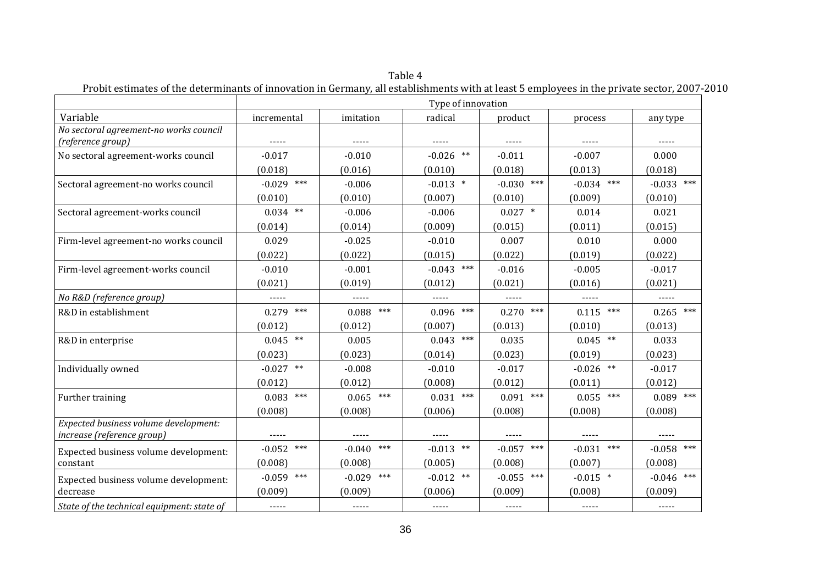|                                                                     | Type of innovation |                   |              |              |                 |                 |  |
|---------------------------------------------------------------------|--------------------|-------------------|--------------|--------------|-----------------|-----------------|--|
| Variable                                                            | incremental        | imitation         | radical      | product      | process         | any type        |  |
| No sectoral agreement-no works council<br>(reference group)         | -----              | -----             | -----        | -----        | $- - - - -$     | -----           |  |
| No sectoral agreement-works council                                 | $-0.017$           | $-0.010$          | $-0.026$ **  | $-0.011$     | $-0.007$        | 0.000           |  |
|                                                                     | (0.018)            | (0.016)           | (0.010)      | (0.018)      | (0.013)         | (0.018)         |  |
| Sectoral agreement-no works council                                 | $-0.029$ ***       | $-0.006$          | $-0.013$ *   | $-0.030$ *** | $-0.034$ ***    | $-0.033$ ***    |  |
|                                                                     | (0.010)            | (0.010)           | (0.007)      | (0.010)      | (0.009)         | (0.010)         |  |
| Sectoral agreement-works council                                    | $0.034$ **         | $-0.006$          | $-0.006$     | $0.027$ *    | 0.014           | 0.021           |  |
|                                                                     | (0.014)            | (0.014)           | (0.009)      | (0.015)      | (0.011)         | (0.015)         |  |
| Firm-level agreement-no works council                               | 0.029              | $-0.025$          | $-0.010$     | 0.007        | 0.010           | 0.000           |  |
|                                                                     | (0.022)            | (0.022)           | (0.015)      | (0.022)      | (0.019)         | (0.022)         |  |
| Firm-level agreement-works council                                  | $-0.010$           | $-0.001$          | $-0.043$ *** | $-0.016$     | $-0.005$        | $-0.017$        |  |
|                                                                     | (0.021)            | (0.019)           | (0.012)      | (0.021)      | (0.016)         | (0.021)         |  |
| No R&D (reference group)                                            |                    |                   | -----        | -----        |                 | -----           |  |
| R&D in establishment                                                | $0.279$ ***        | $***$<br>0.088    | $0.096$ ***  | $0.270$ ***  | $0.115$ ***     | $0.265$ ***     |  |
|                                                                     | (0.012)            | (0.012)           | (0.007)      | (0.013)      | (0.010)         | (0.013)         |  |
| R&D in enterprise                                                   | $0.045$ **         | 0.005             | $0.043$ ***  | 0.035        | $0.045$ **      | 0.033           |  |
|                                                                     | (0.023)            | (0.023)           | (0.014)      | (0.023)      | (0.019)         | (0.023)         |  |
| Individually owned                                                  | $-0.027$ **        | $-0.008$          | $-0.010$     | $-0.017$     | $-0.026$ **     | $-0.017$        |  |
|                                                                     | (0.012)            | (0.012)           | (0.008)      | (0.012)      | (0.011)         | (0.012)         |  |
| Further training                                                    | $0.083$ ***        | $***$<br>0.065    | $0.031$ ***  | $0.091$ ***  | $0.055$ ***     | $0.089$ ***     |  |
|                                                                     | (0.008)            | (0.008)           | (0.006)      | (0.008)      | (0.008)         | (0.008)         |  |
| Expected business volume development:<br>increase (reference group) | -----              | $- - - - -$       | -----        | $- - - - -$  | -----           | -----           |  |
| Expected business volume development:                               | $-0.052$ ***       | $***$<br>$-0.040$ | $-0.013$ **  | $-0.057$ *** | $-0.031$<br>*** | $-0.058$ ***    |  |
| constant                                                            | (0.008)            | (0.008)           | (0.005)      | (0.008)      | (0.007)         | (0.008)         |  |
| Expected business volume development:                               | $-0.059$ ***       | $***$<br>$-0.029$ | $-0.012$ **  | $-0.055$ *** | $-0.015$ *      | ***<br>$-0.046$ |  |
| decrease                                                            | (0.009)            | (0.009)           | (0.006)      | (0.009)      | (0.008)         | (0.009)         |  |
| State of the technical equipment: state of                          | $\cdots$           | $- - - - -$       |              | $- - - - -$  | $- - - - -$     | -----           |  |

Table 4 Probit estimates of the determinants of innovation in Germany, all establishments with at least 5 employees in the private sector, 2007-2010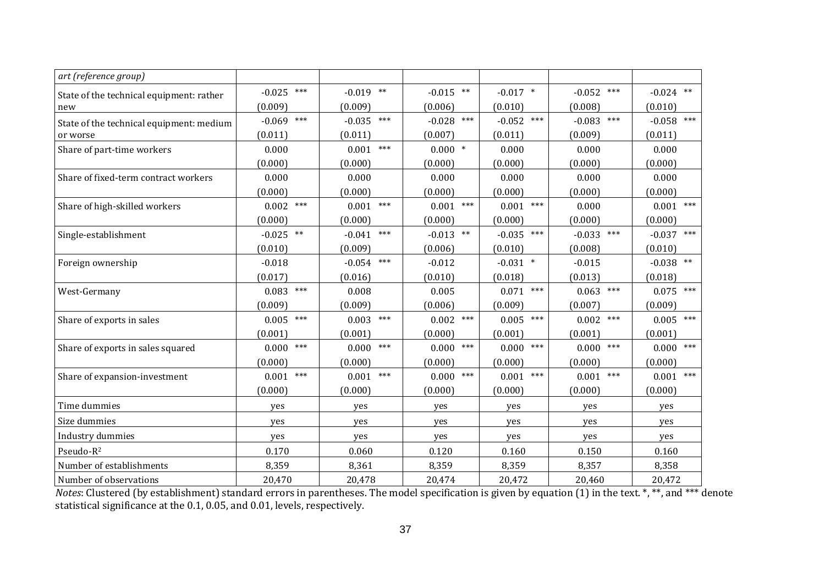| art (reference group)                    |              |              |              |              |              |                |
|------------------------------------------|--------------|--------------|--------------|--------------|--------------|----------------|
| State of the technical equipment: rather | $-0.025$ *** | $-0.019$ **  | $-0.015$ **  | $-0.017$ *   | $-0.052$ *** | $-0.024$ **    |
| new                                      | (0.009)      | (0.009)      | (0.006)      | (0.010)      | (0.008)      | (0.010)        |
| State of the technical equipment: medium | $-0.069$ *** | $-0.035$ *** | $-0.028$ *** | $-0.052$ *** | $-0.083$ *** | $-0.058$ ***   |
| or worse                                 | (0.011)      | (0.011)      | (0.007)      | (0.011)      | (0.009)      | (0.011)        |
| Share of part-time workers               | 0.000        | $0.001$ ***  | $0.000$ *    | 0.000        | 0.000        | 0.000          |
|                                          | (0.000)      | (0.000)      | (0.000)      | (0.000)      | (0.000)      | (0.000)        |
| Share of fixed-term contract workers     | 0.000        | 0.000        | 0.000        | 0.000        | 0.000        | 0.000          |
|                                          | (0.000)      | (0.000)      | (0.000)      | (0.000)      | (0.000)      | (0.000)        |
| Share of high-skilled workers            | $0.002$ ***  | $0.001$ ***  | $0.001$ ***  | $0.001$ ***  | 0.000        | $0.001$ ***    |
|                                          | (0.000)      | (0.000)      | (0.000)      | (0.000)      | (0.000)      | (0.000)        |
| Single-establishment                     | $-0.025$ **  | $-0.041$ *** | $-0.013$ **  | $-0.035$ *** | $-0.033$ *** | $-0.037$ ***   |
|                                          | (0.010)      | (0.009)      | (0.006)      | (0.010)      | (0.008)      | (0.010)        |
| Foreign ownership                        | $-0.018$     | $-0.054$ *** | $-0.012$     | $-0.031$ *   | $-0.015$     | $-0.038$ **    |
|                                          | (0.017)      | (0.016)      | (0.010)      | (0.018)      | (0.013)      | (0.018)        |
| West-Germany                             | ***<br>0.083 | 0.008        | 0.005        | $0.071$ ***  | $0.063$ ***  | $0.075$ ***    |
|                                          | (0.009)      | (0.009)      | (0.006)      | (0.009)      | (0.007)      | (0.009)        |
| Share of exports in sales                | ***<br>0.005 | $0.003$ ***  | $0.002$ ***  | $0.005$ ***  | ***<br>0.002 | $0.005$ ***    |
|                                          | (0.001)      | (0.001)      | (0.000)      | (0.001)      | (0.001)      | (0.001)        |
| Share of exports in sales squared        | ***<br>0.000 | $0.000$ ***  | ***<br>0.000 | ***<br>0.000 | ***<br>0.000 | $0.000$ ***    |
|                                          | (0.000)      | (0.000)      | (0.000)      | (0.000)      | (0.000)      | (0.000)        |
| Share of expansion-investment            | ***<br>0.001 | $0.001$ ***  | ***<br>0.000 | ***<br>0.001 | ***<br>0.001 | $***$<br>0.001 |
|                                          | (0.000)      | (0.000)      | (0.000)      | (0.000)      | (0.000)      | (0.000)        |
| Time dummies                             | yes          | yes          | yes          | yes          | yes          | yes            |
| Size dummies                             | yes          | yes          | yes          | yes          | yes          | yes            |
| Industry dummies                         | yes          | yes          | yes          | yes          | yes          | yes            |
| Pseudo-R <sup>2</sup>                    | 0.170        | 0.060        | 0.120        | 0.160        | 0.150        | 0.160          |
| Number of establishments                 | 8,359        | 8,361        | 8,359        | 8,359        | 8,357        | 8,358          |
| Number of observations                   | 20,470       | 20,478       | 20,474       | 20,472       | 20,460       | 20,472         |

*Notes*: Clustered (by establishment) standard errors in parentheses. The model specification is given by equation (1) in the text. \*, \*\*, and \*\*\* denote statistical significance at the 0.1, 0.05, and 0.01, levels, respectively.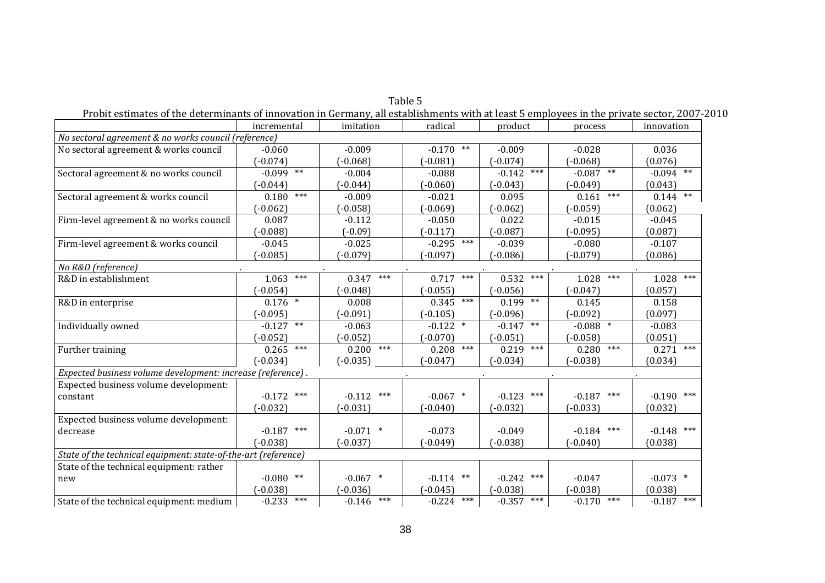| Probit estimates of the determinants of innovation in Germany, all establishments with at least 5 employees in the private sector, 2007-2010 |                        |              |              |                   |                |                       |
|----------------------------------------------------------------------------------------------------------------------------------------------|------------------------|--------------|--------------|-------------------|----------------|-----------------------|
|                                                                                                                                              | incremental            | imitation    | radical      | product           | process        | innovation            |
| No sectoral agreement & no works council (reference)                                                                                         |                        |              |              |                   |                |                       |
| No sectoral agreement & works council                                                                                                        | $-0.060$               | $-0.009$     | $-0.170$ **  | $-0.009$          | $-0.028$       | 0.036                 |
|                                                                                                                                              | $-0.074$               | $(-0.068)$   | $-0.081$     | $(-0.074)$        | $(-0.068)$     | (0.076)               |
| Sectoral agreement & no works council                                                                                                        | $-0.099$ <sup>**</sup> | $-0.004$     | $-0.088$     | $-0.142$ ***      | $-0.087$ **    | $-0.094$ **           |
|                                                                                                                                              | $-0.044$ )             | $-0.044$ )   | $-0.060$     | $(-0.043)$        | $(-0.049)$     | (0.043)               |
| Sectoral agreement & works council                                                                                                           | $***$<br>0.180         | $-0.009$     | $-0.021$     | 0.095             | $***$<br>0.161 | $0.144$ <sup>**</sup> |
|                                                                                                                                              | $(-0.062)$             | $(-0.058)$   | $-0.069$     | $(-0.062)$        | $(-0.059)$     | (0.062)               |
| Firm-level agreement & no works council                                                                                                      | 0.087                  | $-0.112$     | $-0.050$     | 0.022             | $-0.015$       | $-0.045$              |
|                                                                                                                                              | $(-0.088)$             | $(-0.09)$    | $(-0.117)$   | $(-0.087)$        | $(-0.095)$     | (0.087)               |
| Firm-level agreement & works council                                                                                                         | $-0.045$               | $-0.025$     | $-0.295$ *** | $-0.039$          | $-0.080$       | $-0.107$              |
|                                                                                                                                              | $-0.085$ )             | $(-0.079)$   | $-0.097$     | $-0.086$          | $(-0.079)$     | (0.086)               |
| No R&D (reference)                                                                                                                           |                        |              |              |                   |                |                       |
| R&D in establishment                                                                                                                         | $***$<br>1.063         | $0.347$ ***  | $0.717$ ***  | ***<br>0.532      | 1.028<br>$***$ | ***<br>1.028          |
|                                                                                                                                              | $-0.054$               | $(-0.048)$   | $(-0.055)$   | $(-0.056)$        | $(-0.047)$     | (0.057)               |
| R&D in enterprise                                                                                                                            | $0.176$ *              | 0.008        | $0.345$ ***  | $0.199$ **        | 0.145          | 0.158                 |
|                                                                                                                                              | $-0.095$               | $(-0.091)$   | $(-0.105)$   | $(-0.096)$        | $(-0.092)$     | (0.097)               |
| Individually owned                                                                                                                           | $***$<br>$-0.127$      | $-0.063$     | $-0.122$ *   | $***$<br>$-0.147$ | $-0.088$ *     | $-0.083$              |
|                                                                                                                                              | $-0.052$               | $(-0.052)$   | $(-0.070)$   | $(-0.051)$        | $(-0.058)$     | (0.051)               |
| Further training                                                                                                                             | $***$<br>0.265         | $0.200$ ***  | $0.208$ ***  | $0.219$ ***       | $***$<br>0.280 | $0.271$ ***           |
|                                                                                                                                              | $(-0.034)$             | $(-0.035)$   | $(-0.047)$   | $(-0.034)$        | $(-0.038)$     | (0.034)               |
| Expected business volume development: increase (reference).                                                                                  |                        |              |              |                   |                |                       |
| Expected business volume development:                                                                                                        |                        |              |              |                   |                |                       |
| constant                                                                                                                                     | $-0.172$ ***           | $-0.112$ *** | $-0.067$ *   | $-0.123$ ***      | $-0.187$ ***   | $-0.190$ ***          |
|                                                                                                                                              | $(-0.032)$             | $(-0.031)$   | $(-0.040)$   | $(-0.032)$        | $(-0.033)$     | (0.032)               |
| Expected business volume development:                                                                                                        |                        |              |              |                   |                |                       |
| decrease                                                                                                                                     | $***$<br>$-0.187$      | $-0.071$ *   | $-0.073$     | $-0.049$          | $-0.184$ ***   | $-0.148$ ***          |
|                                                                                                                                              | $(-0.038)$             | $(-0.037)$   | $(-0.049)$   | $-0.038$          | $(-0.040)$     | (0.038)               |
| State of the technical equipment: state-of-the-art (reference)                                                                               |                        |              |              |                   |                |                       |
| State of the technical equipment: rather                                                                                                     |                        |              |              |                   |                |                       |
| new                                                                                                                                          | $-0.080$ **            | $-0.067$ *   | $-0.114$ **  | $-0.242$ ***      | $-0.047$       | $-0.073$ *            |
|                                                                                                                                              | $-0.038$               | $(-0.036)$   | $-0.045$     | $(-0.038)$        | $(-0.038)$     | (0.038)               |
| State of the technical equipment: medium                                                                                                     | ***<br>$-0.233$        | $-0.146$ *** | $-0.224$ *** | $-0.357$ ***      | $-0.170$ ***   | $-0.187$ ***          |
|                                                                                                                                              |                        |              |              |                   |                |                       |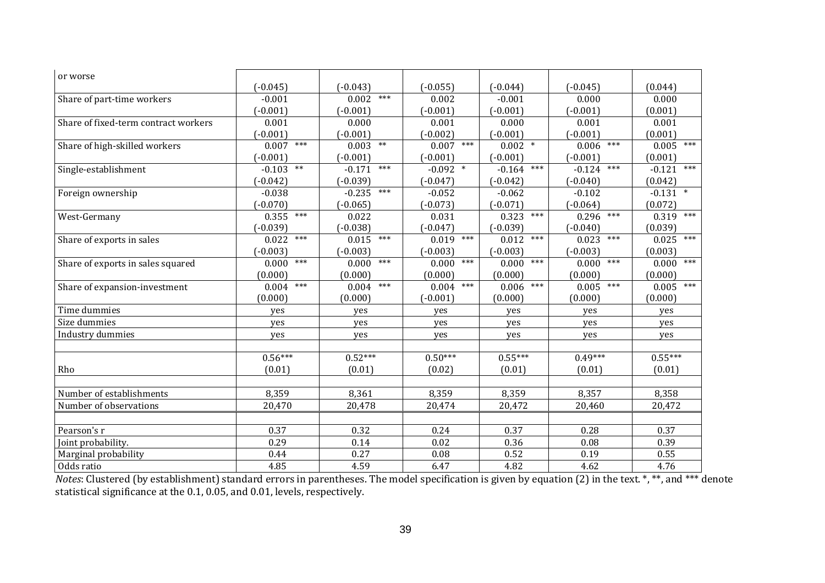| or worse                             |                        |                 |                |                |                   |                   |
|--------------------------------------|------------------------|-----------------|----------------|----------------|-------------------|-------------------|
|                                      | $(-0.045)$             | $(-0.043)$      | $(-0.055)$     | $(-0.044)$     | $(-0.045)$        | (0.044)           |
| Share of part-time workers           | $-0.001$               | $0.002$ ***     | 0.002          | $-0.001$       | 0.000             | 0.000             |
|                                      | $(-0.001)$             | $(-0.001)$      | $(-0.001)$     | $(-0.001)$     | $(-0.001)$        | (0.001)           |
| Share of fixed-term contract workers | 0.001                  | 0.000           | 0.001          | 0.000          | 0.001             | 0.001             |
|                                      | $(-0.001)$             | $(-0.001)$      | $(-0.002)$     | $(-0.001)$     | $(-0.001)$        | (0.001)           |
| Share of high-skilled workers        | $***$<br>0.007         | $0.003$ **      | 0.007<br>***   | $0.002$ *      | $***$<br>0.006    | 0.005<br>***      |
|                                      | $(-0.001)$             | $(-0.001)$      | $(-0.001)$     | $(-0.001)$     | $(-0.001)$        | (0.001)           |
| Single-establishment                 | $\ast\ast$<br>$-0.103$ | ***<br>$-0.171$ | $-0.092$ *     | $-0.164$ ***   | $***$<br>$-0.124$ | $***$<br>$-0.121$ |
|                                      | $-0.042$               | $(-0.039)$      | $(-0.047)$     | $(-0.042)$     | $(-0.040)$        | (0.042)           |
| Foreign ownership                    | $-0.038$               | $-0.235$ ***    | $-0.052$       | $-0.062$       | $-0.102$          | $-0.131$ *        |
|                                      | $-0.070$               | $(-0.065)$      | $(-0.073)$     | $(-0.071)$     | $(-0.064)$        | (0.072)           |
| West-Germany                         | $***$<br>0.355         | 0.022           | 0.031          | $***$<br>0.323 | $***$<br>0.296    | 0.319<br>$***$    |
|                                      | $(-0.039)$             | $(-0.038)$      | $(-0.047)$     | $(-0.039)$     | $(-0.040)$        | (0.039)           |
| Share of exports in sales            | $***$<br>0.022         | $0.015$ ***     | $***$<br>0.019 | ***<br>0.012   | $***$<br>0.023    | ***<br>0.025      |
|                                      | $(-0.003)$             | $(-0.003)$      | $(-0.003)$     | $(-0.003)$     | $(-0.003)$        | (0.003)           |
| Share of exports in sales squared    | $***$<br>0.000         | $***$<br>0.000  | $***$<br>0.000 | $***$<br>0.000 | $***$<br>0.000    | $***$<br>0.000    |
|                                      | (0.000)                | (0.000)         | (0.000)        | (0.000)        | (0.000)           | (0.000)           |
| Share of expansion-investment        | $***$<br>0.004         | $***$<br>0.004  | $***$<br>0.004 | $***$<br>0.006 | $***$<br>0.005    | $***$<br>0.005    |
|                                      | (0.000)                | (0.000)         | $(-0.001)$     | (0.000)        | (0.000)           | (0.000)           |
| Time dummies                         | ves                    | ves             | ves            | ves            | ves               | yes               |
| Size dummies                         | yes                    | yes             | yes            | yes            | yes               | yes               |
| Industry dummies                     | yes                    | yes             | yes            | yes            | yes               | yes               |
|                                      |                        |                 |                |                |                   |                   |
|                                      | $0.56***$              | $0.52***$       | $0.50***$      | $0.55***$      | $0.49***$         | $0.55***$         |
| Rho                                  | (0.01)                 | (0.01)          | (0.02)         | (0.01)         | (0.01)            | (0.01)            |
|                                      |                        |                 |                |                |                   |                   |
| Number of establishments             | 8,359                  | 8,361           | 8,359          | 8,359          | 8,357             | 8,358             |
| Number of observations               | 20,470                 | 20,478          | 20,474         | 20,472         | 20,460            | 20,472            |
|                                      |                        |                 |                |                |                   |                   |
| Pearson's r                          | 0.37                   | 0.32            | 0.24           | 0.37           | 0.28              | 0.37              |
| Joint probability.                   | 0.29                   | 0.14            | 0.02           | 0.36           | 0.08              | 0.39              |
| Marginal probability                 | 0.44                   | 0.27            | 0.08           | 0.52           | 0.19              | 0.55              |
| Odds ratio                           | 4.85                   | 4.59            | 6.47           | 4.82           | 4.62              | 4.76              |

*Notes*: Clustered (by establishment) standard errors in parentheses. The model specification is given by equation (2) in the text. \*, \*\*, and \*\*\* denote statistical significance at the 0.1, 0.05, and 0.01, levels, respectively.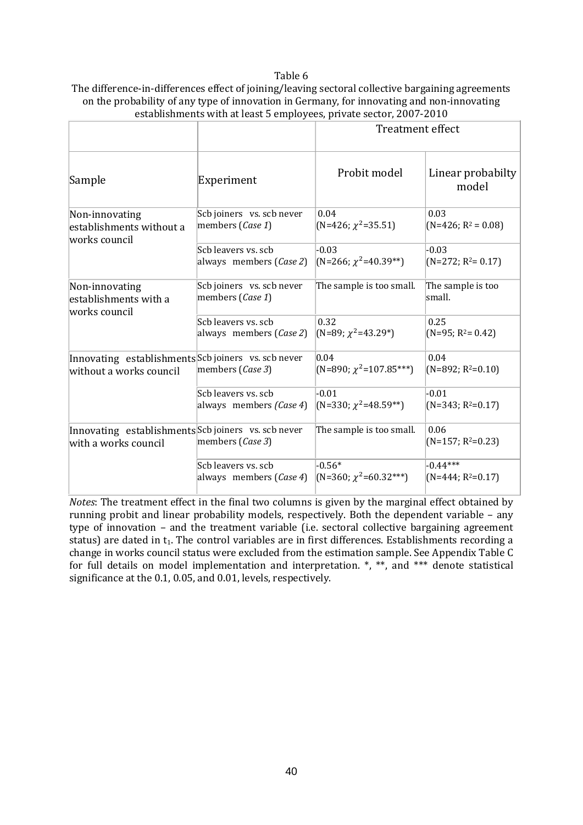#### Table 6

| The difference-in-differences effect of joining/leaving sectoral collective bargaining agreements |
|---------------------------------------------------------------------------------------------------|
| on the probability of any type of innovation in Germany, for innovating and non-innovating        |
| establishments with at least 5 employees, private sector, 2007-2010                               |

|                                                                             |                                               | <b>Treatment effect</b>         |                             |  |
|-----------------------------------------------------------------------------|-----------------------------------------------|---------------------------------|-----------------------------|--|
| Sample                                                                      | Experiment                                    | Probit model                    | Linear probabilty<br>model  |  |
| Non-innovating<br>establishments without a<br>works council                 | Scb joiners vs. scb never<br>members (Case 1) | 0.04<br>$(N=426; \chi^2=35.51)$ | 0.03<br>$(N=426; R^2=0.08)$ |  |
|                                                                             | Sch leavers vs. sch                           | $-0.03$                         | $-0.03$                     |  |
|                                                                             | always members (Case 2)                       | $(N=266; \chi^2=40.39**)$       | $(N=272; R^2=0.17)$         |  |
| Non-innovating<br>establishments with a<br>works council                    | Scb joiners vs. scb never<br>members (Case 1) | The sample is too small.        | The sample is too<br>small. |  |
|                                                                             | Sch leavers vs. sch                           | 0.32                            | 0.25                        |  |
|                                                                             | always members (Case 2)                       | $(N=89; \chi^2=43.29^*)$        | $(N=95; R2=0.42)$           |  |
| Innovating establishments Scb joiners vs. scb never                         | members (Case 3)                              | 0.04                            | 0.04                        |  |
| without a works council                                                     |                                               | $(N=890; \chi^2=107.85***)$     | $(N=892; R^2=0.10)$         |  |
|                                                                             | Scb leavers vs. scb                           | $-0.01$                         | $-0.01$                     |  |
|                                                                             | always members (Case 4)                       | (N=330; $\chi^2$ =48.59**)      | $(N=343; R^2=0.17)$         |  |
| Innovating establishments Scb joiners vs. scb never<br>with a works council | members (Case 3)                              | The sample is too small.        | 0.06<br>$(N=157; R^2=0.23)$ |  |
|                                                                             | Scb leavers vs. scb                           | $-0.56*$                        | $-0.44***$                  |  |
|                                                                             | always members (Case 4)                       | $(N=360; \chi^2=60.32***)$      | $(N=444; R^2=0.17)$         |  |

*Notes*: The treatment effect in the final two columns is given by the marginal effect obtained by running probit and linear probability models, respectively. Both the dependent variable – any type of innovation – and the treatment variable (i.e. sectoral collective bargaining agreement status) are dated in t<sub>1</sub>. The control variables are in first differences. Establishments recording a change in works council status were excluded from the estimation sample. See Appendix Table C for full details on model implementation and interpretation. \*, \*\*, and \*\*\* denote statistical significance at the 0.1, 0.05, and 0.01, levels, respectively.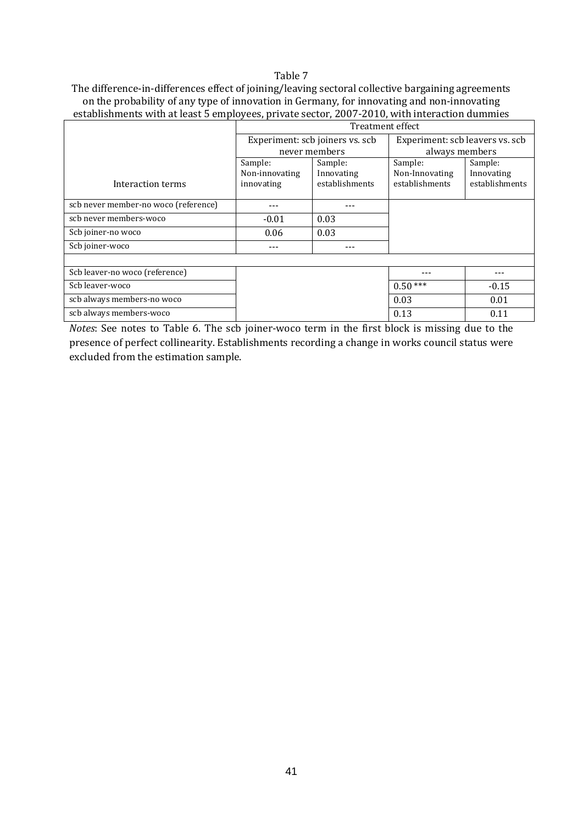#### Table 7

The difference-in-differences effect of joining/leaving sectoral collective bargaining agreements on the probability of any type of innovation in Germany, for innovating and non-innovating establishments with at least 5 employees, private sector, 2007-2010, with interaction dummies

|                                      | Treatment effect |                                 |                                 |                |  |  |  |
|--------------------------------------|------------------|---------------------------------|---------------------------------|----------------|--|--|--|
|                                      |                  | Experiment: scb joiners vs. scb | Experiment: scb leavers vs. scb |                |  |  |  |
|                                      |                  | never members                   | always members                  |                |  |  |  |
|                                      | Sample:          | Sample:                         | Sample:                         | Sample:        |  |  |  |
|                                      | Non-innovating   | Innovating                      | Non-Innovating                  | Innovating     |  |  |  |
| Interaction terms                    | innovating       | establishments                  | establishments                  | establishments |  |  |  |
|                                      |                  |                                 |                                 |                |  |  |  |
| scb never member-no woco (reference) |                  |                                 |                                 |                |  |  |  |
| scb never members-woco               | $-0.01$          | 0.03                            |                                 |                |  |  |  |
| Scb joiner-no woco                   | 0.06             | 0.03                            |                                 |                |  |  |  |
| Scb joiner-woco                      |                  |                                 |                                 |                |  |  |  |
|                                      |                  |                                 |                                 |                |  |  |  |
| Scb leaver-no woco (reference)       |                  |                                 |                                 |                |  |  |  |
| Scb leaver-woco                      |                  |                                 | $0.50***$                       | $-0.15$        |  |  |  |
| scb always members-no woco           |                  |                                 | 0.03                            | 0.01           |  |  |  |
| scb always members-woco              |                  |                                 | 0.13                            | 0.11           |  |  |  |

*Notes*: See notes to Table 6. The scb joiner-woco term in the first block is missing due to the presence of perfect collinearity. Establishments recording a change in works council status were excluded from the estimation sample.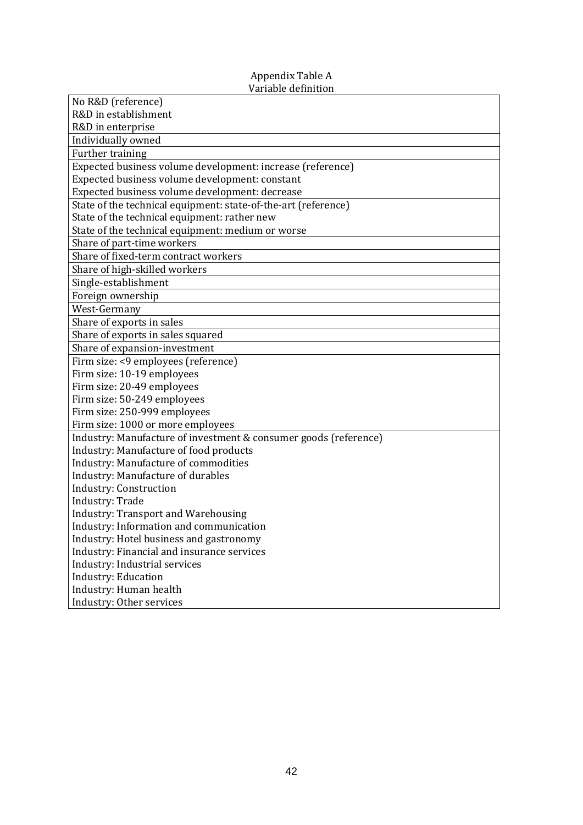#### Appendix Table A Variable definition

| No R&D (reference)                                               |
|------------------------------------------------------------------|
| R&D in establishment                                             |
| R&D in enterprise                                                |
| Individually owned                                               |
| Further training                                                 |
| Expected business volume development: increase (reference)       |
| Expected business volume development: constant                   |
| Expected business volume development: decrease                   |
| State of the technical equipment: state-of-the-art (reference)   |
| State of the technical equipment: rather new                     |
| State of the technical equipment: medium or worse                |
| Share of part-time workers                                       |
| Share of fixed-term contract workers                             |
| Share of high-skilled workers                                    |
| Single-establishment                                             |
| Foreign ownership                                                |
| West-Germany                                                     |
| Share of exports in sales                                        |
| Share of exports in sales squared                                |
| Share of expansion-investment                                    |
| Firm size: <9 employees (reference)                              |
| Firm size: 10-19 employees                                       |
| Firm size: 20-49 employees                                       |
| Firm size: 50-249 employees                                      |
| Firm size: 250-999 employees                                     |
| Firm size: 1000 or more employees                                |
| Industry: Manufacture of investment & consumer goods (reference) |
| Industry: Manufacture of food products                           |
| Industry: Manufacture of commodities                             |
| Industry: Manufacture of durables                                |
| <b>Industry: Construction</b>                                    |
| Industry: Trade                                                  |
| <b>Industry: Transport and Warehousing</b>                       |
| Industry: Information and communication                          |
| Industry: Hotel business and gastronomy                          |
| Industry: Financial and insurance services                       |
| Industry: Industrial services                                    |
| <b>Industry: Education</b>                                       |
| Industry: Human health                                           |
| Industry: Other services                                         |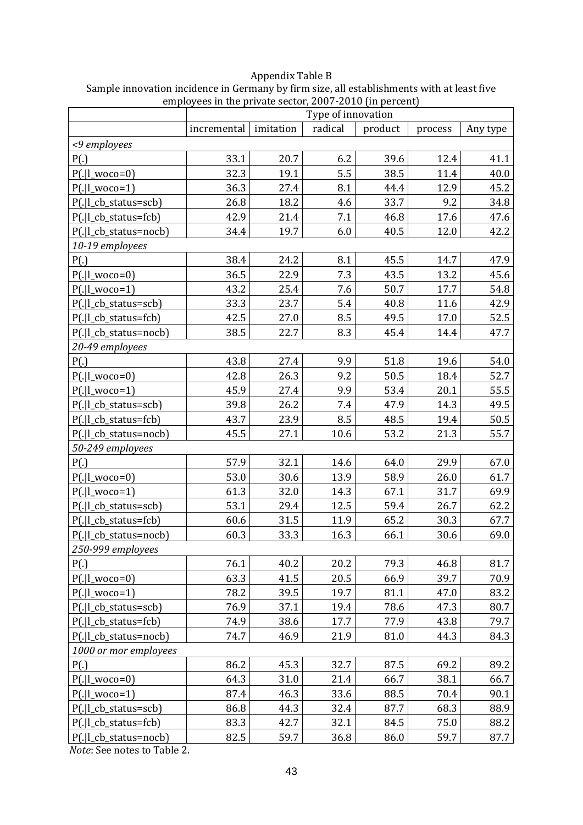### Appendix Table B

| Sample innovation incidence in Germany by firm size, all establishments with at least five |
|--------------------------------------------------------------------------------------------|
| employees in the private sector, 2007-2010 (in percent)                                    |

|                       | Type of innovation |           |         |         |         |          |  |
|-----------------------|--------------------|-----------|---------|---------|---------|----------|--|
|                       | incremental        | imitation | radical | product | process | Any type |  |
| <9 employees          |                    |           |         |         |         |          |  |
| P(.)                  | 33.1               | 20.7      | 6.2     | 39.6    | 12.4    | 41.1     |  |
| $P(. l_$ woco=0)      | 32.3               | 19.1      | 5.5     | 38.5    | 11.4    | 40.0     |  |
| $P(. l_$ woco=1)      | 36.3               | 27.4      | 8.1     | 44.4    | 12.9    | 45.2     |  |
| P(. l_cb_status=scb)  | 26.8               | 18.2      | 4.6     | 33.7    | 9.2     | 34.8     |  |
| P(. l_cb_status=fcb)  | 42.9               | 21.4      | 7.1     | 46.8    | 17.6    | 47.6     |  |
| P(. l_cb_status=nocb) | 34.4               | 19.7      | 6.0     | 40.5    | 12.0    | 42.2     |  |
| 10-19 employees       |                    |           |         |         |         |          |  |
| P(.)                  | 38.4               | 24.2      | 8.1     | 45.5    | 14.7    | 47.9     |  |
| $P(. l_$ woco=0)      | 36.5               | 22.9      | 7.3     | 43.5    | 13.2    | 45.6     |  |
| $P(. I_{woco=1})$     | 43.2               | 25.4      | 7.6     | 50.7    | 17.7    | 54.8     |  |
| P(. l_cb_status=scb)  | 33.3               | 23.7      | 5.4     | 40.8    | 11.6    | 42.9     |  |
| P(. l_cb_status=fcb)  | 42.5               | 27.0      | 8.5     | 49.5    | 17.0    | 52.5     |  |
| P(. l_cb_status=nocb) | 38.5               | 22.7      | 8.3     | 45.4    | 14.4    | 47.7     |  |
| 20-49 employees       |                    |           |         |         |         |          |  |
| P(.)                  | 43.8               | 27.4      | 9.9     | 51.8    | 19.6    | 54.0     |  |
| $P(. I_$ woco=0)      | 42.8               | 26.3      | 9.2     | 50.5    | 18.4    | 52.7     |  |
| $P(. I_{woco=1})$     | 45.9               | 27.4      | 9.9     | 53.4    | 20.1    | 55.5     |  |
| P(. l_cb_status=scb)  | 39.8               | 26.2      | 7.4     | 47.9    | 14.3    | 49.5     |  |
| P(. l_cb_status=fcb)  | 43.7               | 23.9      | 8.5     | 48.5    | 19.4    | 50.5     |  |
| P(. l_cb_status=nocb) | 45.5               | 27.1      | 10.6    | 53.2    | 21.3    | 55.7     |  |
| 50-249 employees      |                    |           |         |         |         |          |  |
| P(.)                  | 57.9               | 32.1      | 14.6    | 64.0    | 29.9    | 67.0     |  |
| $P(. l_$ woco=0)      | 53.0               | 30.6      | 13.9    | 58.9    | 26.0    | 61.7     |  |
| $P(. l_wood=1)$       | 61.3               | 32.0      | 14.3    | 67.1    | 31.7    | 69.9     |  |
| P(. l_cb_status=scb)  | 53.1               | 29.4      | 12.5    | 59.4    | 26.7    | 62.2     |  |
| P(. l_cb_status=fcb)  | 60.6               | 31.5      | 11.9    | 65.2    | 30.3    | 67.7     |  |
| P(. l_cb_status=nocb) | 60.3               | 33.3      | 16.3    | 66.1    | 30.6    | 69.0     |  |
| 250-999 employees     |                    |           |         |         |         |          |  |
| P(.)                  | 76.1               | 40.2      | 20.2    | 79.3    | 46.8    | 81.7     |  |
| $P(. I_{woco=0})$     | 63.3               | 41.5      | 20.5    | 66.9    | 39.7    | 70.9     |  |
| $P(. l_$ woco=1)      | 78.2               | 39.5      | 19.7    | 81.1    | 47.0    | 83.2     |  |
| P(. l_cb_status=scb)  | 76.9               | 37.1      | 19.4    | 78.6    | 47.3    | 80.7     |  |
| P(. l_cb_status=fcb)  | 74.9               | 38.6      | 17.7    | 77.9    | 43.8    | 79.7     |  |
| P(. l_cb_status=nocb) | 74.7               | 46.9      | 21.9    | 81.0    | 44.3    | 84.3     |  |
| 1000 or mor employees |                    |           |         |         |         |          |  |
| P(.)                  | 86.2               | 45.3      | 32.7    | 87.5    | 69.2    | 89.2     |  |
| $P(. I_{woco=0})$     | 64.3               | 31.0      | 21.4    | 66.7    | 38.1    | 66.7     |  |
| $P(. I_{woco=1})$     | 87.4               | 46.3      | 33.6    | 88.5    | 70.4    | 90.1     |  |
| P(. l_cb_status=scb)  | 86.8               | 44.3      | 32.4    | 87.7    | 68.3    | 88.9     |  |
| P(. l_cb_status=fcb)  | 83.3               | 42.7      | 32.1    | 84.5    | 75.0    | 88.2     |  |
| P(. l_cb_status=nocb) | 82.5               | 59.7      | 36.8    | 86.0    | 59.7    | 87.7     |  |

*Note*: See notes to Table 2.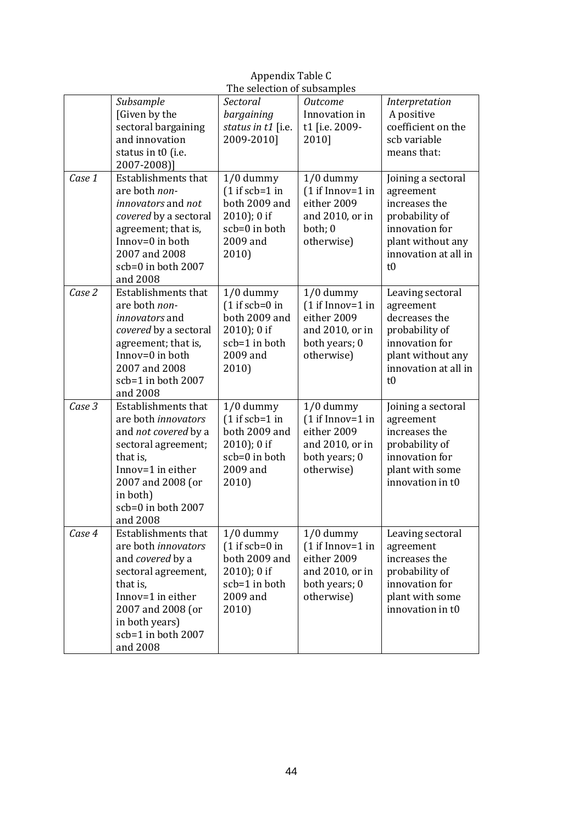|        | The selection of subsamples                                                                                                                                                                            |                                                                                                          |                                                                                                    |                                                                                                                                         |  |  |
|--------|--------------------------------------------------------------------------------------------------------------------------------------------------------------------------------------------------------|----------------------------------------------------------------------------------------------------------|----------------------------------------------------------------------------------------------------|-----------------------------------------------------------------------------------------------------------------------------------------|--|--|
|        | Subsample<br>[Given by the<br>sectoral bargaining<br>and innovation<br>status in t0 (i.e.<br>2007-2008)]                                                                                               | Sectoral<br>bargaining<br>status in t1 [i.e.<br>2009-2010]                                               | <b>Outcome</b><br>Innovation in<br>t1 [i.e. 2009-<br>2010]                                         | Interpretation<br>A positive<br>coefficient on the<br>scb variable<br>means that:                                                       |  |  |
| Case 1 | <b>Establishments that</b><br>are both non-<br><i>innovators</i> and <i>not</i><br>covered by a sectoral<br>agreement; that is,<br>Innov=0 in both<br>2007 and 2008<br>scb=0 in both 2007<br>and 2008  | $1/0$ dummy<br>$(1 if sch=1 in$<br>both 2009 and<br>$2010$ ); 0 if<br>scb=0 in both<br>2009 and<br>2010) | $1/0$ dummy<br>$(1 if Innov=1 in$<br>either 2009<br>and 2010, or in<br>both; 0<br>otherwise)       | Joining a sectoral<br>agreement<br>increases the<br>probability of<br>innovation for<br>plant without any<br>innovation at all in<br>t0 |  |  |
| Case 2 | Establishments that<br>are both non-<br><i>innovators</i> and<br>covered by a sectoral<br>agreement; that is,<br>Innov=0 in both<br>2007 and 2008<br>scb=1 in both 2007<br>and 2008                    | $1/0$ dummy<br>$(1 if seb=0 in$<br>both 2009 and<br>$2010$ ; 0 if<br>scb=1 in both<br>2009 and<br>2010)  | $1/0$ dummy<br>$(1 if Innov=1 in$<br>either 2009<br>and 2010, or in<br>both years; 0<br>otherwise) | Leaving sectoral<br>agreement<br>decreases the<br>probability of<br>innovation for<br>plant without any<br>innovation at all in<br>t0   |  |  |
| Case 3 | Establishments that<br>are both innovators<br>and not covered by a<br>sectoral agreement;<br>that is,<br>Innov=1 in either<br>2007 and 2008 (or<br>in both)<br>scb=0 in both 2007<br>and 2008          | $1/0$ dummy<br>$(1 if sch=1 in$<br>both 2009 and<br>$2010$ ); 0 if<br>scb=0 in both<br>2009 and<br>2010) | 1/0 dummy<br>$(1 if Innov=1 in$<br>either 2009<br>and 2010, or in<br>both years; 0<br>otherwise)   | Joining a sectoral<br>agreement<br>increases the<br>probability of<br>innovation for<br>plant with some<br>innovation in t0             |  |  |
| Case 4 | Establishments that<br>are both <i>innovators</i><br>and covered by a<br>sectoral agreement,<br>that is,<br>Innov=1 in either<br>2007 and 2008 (or<br>in both years)<br>scb=1 in both 2007<br>and 2008 | $1/0$ dummy<br>$(1 if sch=0 in$<br>both 2009 and<br>$2010$ ; 0 if<br>scb=1 in both<br>2009 and<br>2010)  | $1/0$ dummy<br>$(1 if Innov=1 in$<br>either 2009<br>and 2010, or in<br>both years; 0<br>otherwise) | Leaving sectoral<br>agreement<br>increases the<br>probability of<br>innovation for<br>plant with some<br>innovation in t0               |  |  |

Appendix Table C